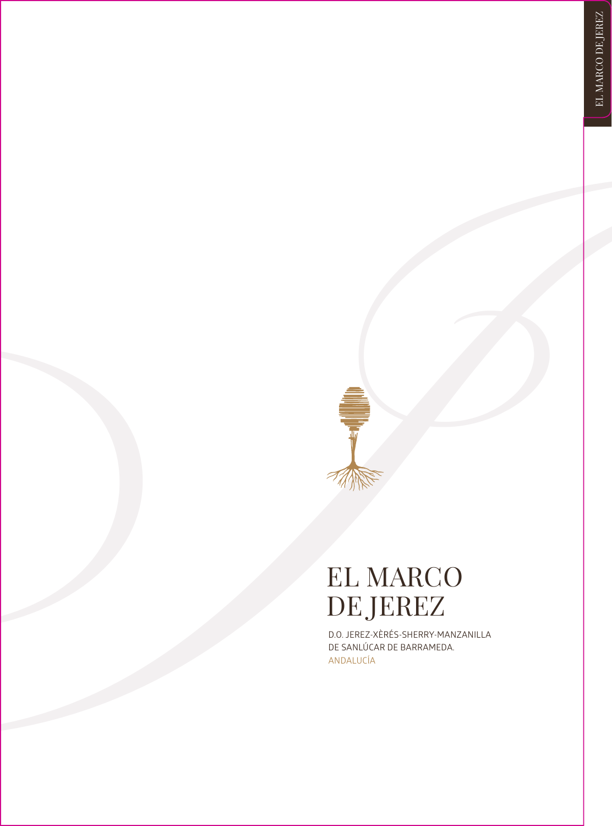## **FIL MARCO**<br> **JEL MARCO**<br> **DE JEREZ**<br> **DE MARCO**<br> **DE MARCO**<br> **DE MARCO**<br> **PERIMENTE CONSUMERATES** EL MARCO<br>DE JEREZ

D.O. JEREZ-XÈRÉS-SHERRY-MANZANILLA DE SANLÚCAR DE BARRAMEDA. ANDALUCÍA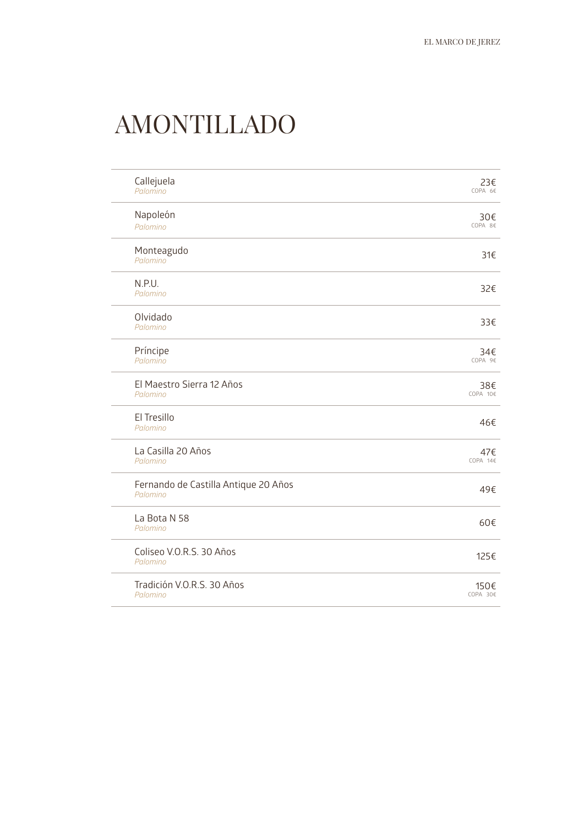### AMONTILLADO

| Callejuela<br>Palomino                           | 23€<br>COPA 6€   |
|--------------------------------------------------|------------------|
| Napoleón<br>Palomino                             | 30€<br>COPA 8€   |
| Monteagudo<br>Palomino                           | 31€              |
| N.P.U.<br>Palomino                               | 32€              |
| Olvidado<br>Palomino                             | 33€              |
| Príncipe<br>Palomino                             | 34€<br>COPA 9€   |
| El Maestro Sierra 12 Años<br>Palomino            | 38€<br>COPA 10€  |
| El Tresillo<br>Palomino                          | 46€              |
| La Casilla 20 Años<br>Palomino                   | 47€<br>COPA 14€  |
| Fernando de Castilla Antique 20 Años<br>Palomino | 49€              |
| La Bota N 58<br>Palomino                         | 60€              |
| Coliseo V.O.R.S. 30 Años<br>Palomino             | 125€             |
| Tradición V.O.R.S. 30 Años<br>Palomino           | 150€<br>COPA 30€ |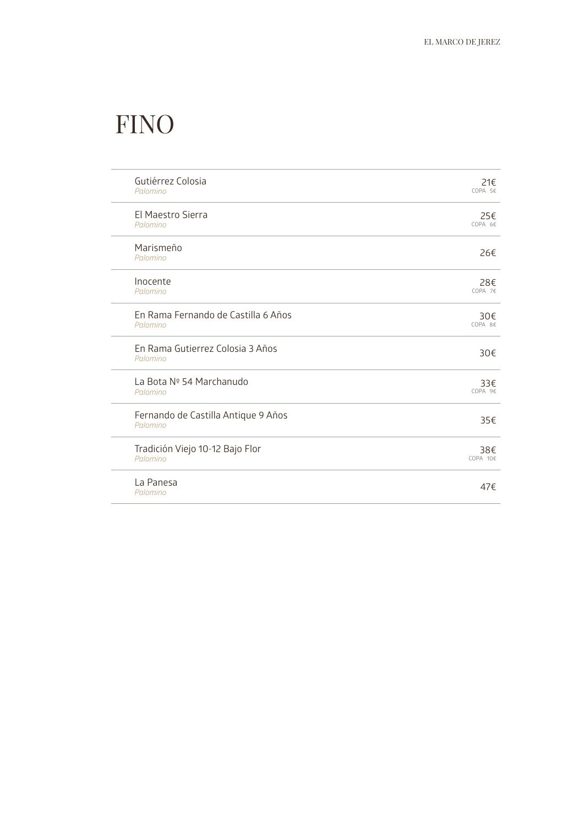### **FINO**

| Gutiérrez Colosia                               | 21€       |
|-------------------------------------------------|-----------|
| Palomino                                        | COPA 5€   |
| El Maestro Sierra                               | 25€       |
| Palomino                                        | COPA 6€   |
| Marismeño<br>Palomino                           | 26€       |
| Inocente                                        | 28€       |
| Palomino                                        | COPA 7€   |
| En Rama Fernando de Castilla 6 Años             | 30€       |
| Palomino                                        | COPA 8€   |
| En Rama Gutierrez Colosia 3 Años<br>Palomino    | 30€       |
| La Bota Nº 54 Marchanudo                        | 33€       |
| Palomino                                        | $COPA$ 9€ |
| Fernando de Castilla Antique 9 Años<br>Palomino | 35€       |
| Tradición Viejo 10-12 Bajo Flor                 | 38€       |
| Palomino                                        | COPA 10€  |
| La Panesa<br>Palomino                           | 47f       |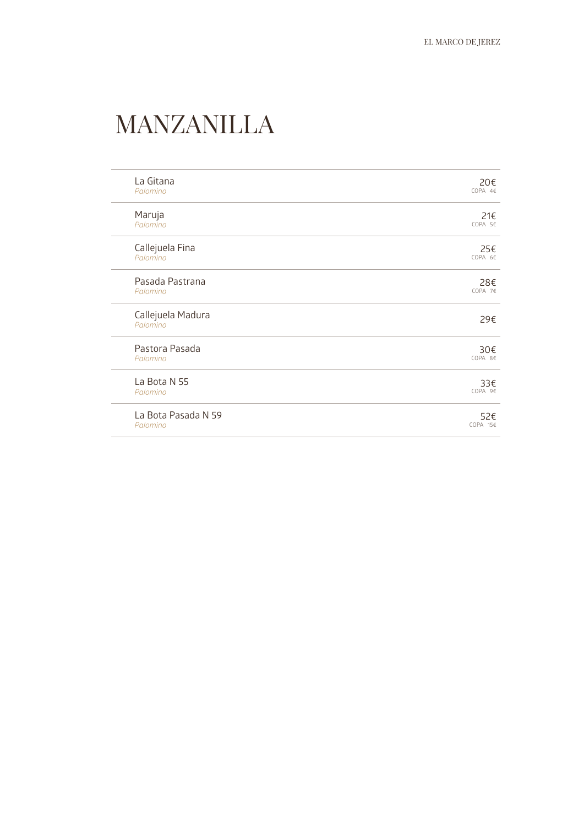### MANZANILLA

| La Gitana                     | 20€      |
|-------------------------------|----------|
| Palomino                      | COPA 4E  |
| Maruja                        | 21€      |
| Palomino                      | COPA 5€  |
| Callejuela Fina               | 25€      |
| Palomino                      | COPA 6€  |
| Pasada Pastrana               | 28€      |
| Palomino                      | COPA 7€  |
| Callejuela Madura<br>Palomino | 29€      |
| Pastora Pasada                | 30€      |
| Palomino                      | COPA 8€  |
| La Bota N 55                  | 33€      |
| Palomino                      | COPA 9€  |
| La Bota Pasada N 59           | 52€      |
| Palomino                      | COPA 15€ |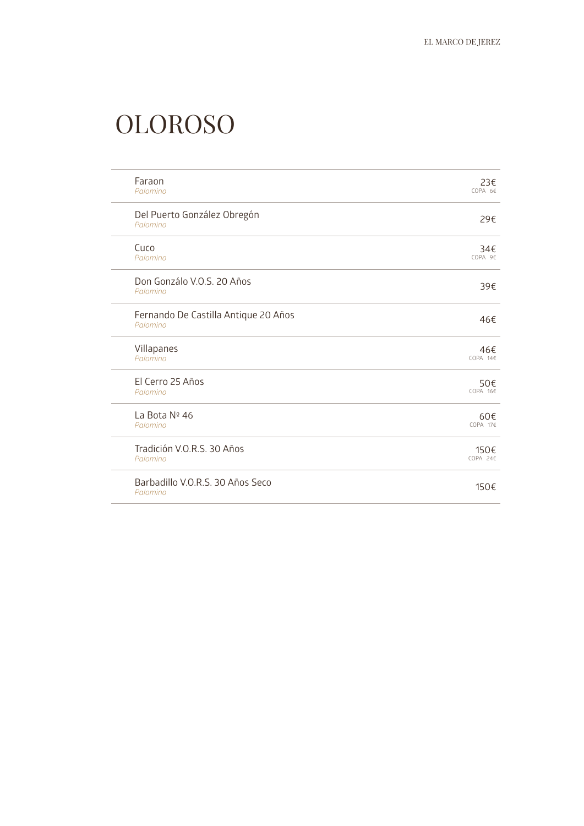### OLOROSO

| Faraon                                           | 23€                |
|--------------------------------------------------|--------------------|
| Palomino                                         | COPA 6€            |
| Del Puerto González Obregón<br>Palomino          | 29€                |
| Cuco                                             | 34€                |
| Palomino                                         | COPA 9€            |
| Don Gonzálo V.O.S. 20 Años<br>Palomino           | 39€                |
| Fernando De Castilla Antique 20 Años<br>Palomino | 46€                |
| Villapanes                                       | 46€                |
| Palomino                                         | COPA 14€           |
| El Cerro 25 Años                                 | 50€                |
| Palomino                                         | $COPA$ 16 $\notin$ |
| La Bota Nº 46                                    | 60€                |
| Palomino                                         | COPA 17€           |
| Tradición V.O.R.S. 30 Años                       | 150€               |
| Palomino                                         | COPA 24€           |
| Barbadillo V.O.R.S. 30 Años Seco<br>Palomino     | 150€               |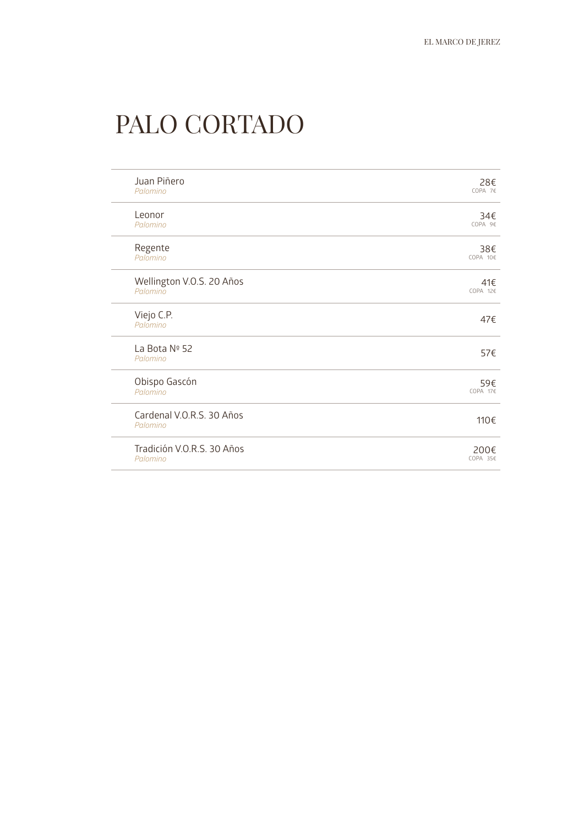### PALO CORTADO

| Juan Piñero                           | 28€      |
|---------------------------------------|----------|
| Palomino                              | COPA 7€  |
| Leonor                                | 34€      |
| Palomino                              | COPA 9€  |
| Regente                               | 38€      |
| Palomino                              | COPA 10€ |
| Wellington V.O.S. 20 Años             | 41€      |
| Palomino                              | COPA 12€ |
| Viejo C.P.<br>Palomino                | 47€      |
| La Bota Nº 52<br>Palomino             | 57€      |
| Obispo Gascón                         | 59€      |
| Palomino                              | COPA 17€ |
| Cardenal V.O.R.S. 30 Años<br>Palomino | 110€     |
| Tradición V.O.R.S. 30 Años            | 200€     |
| Palomino                              | COPA 35€ |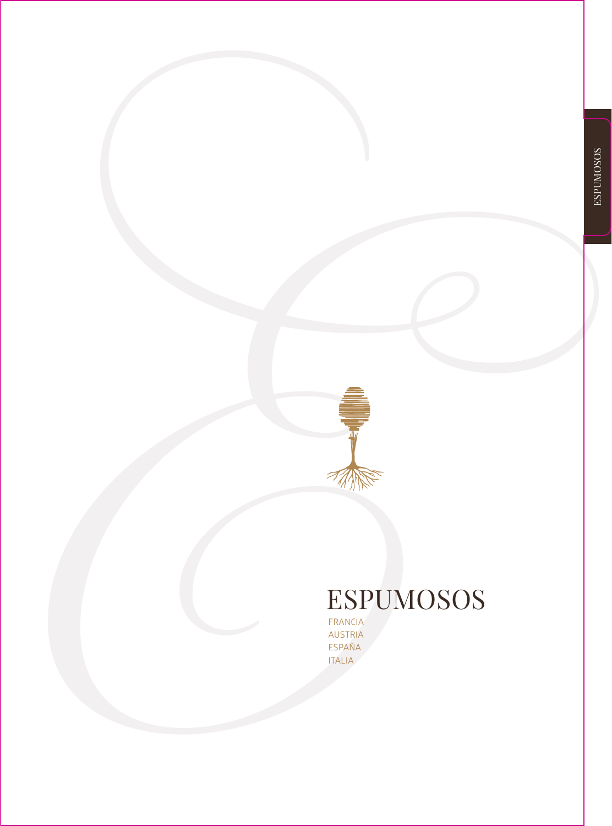# ESPUMOSOS

FRANCIA AUSTRIA ESPAÑA ITALIA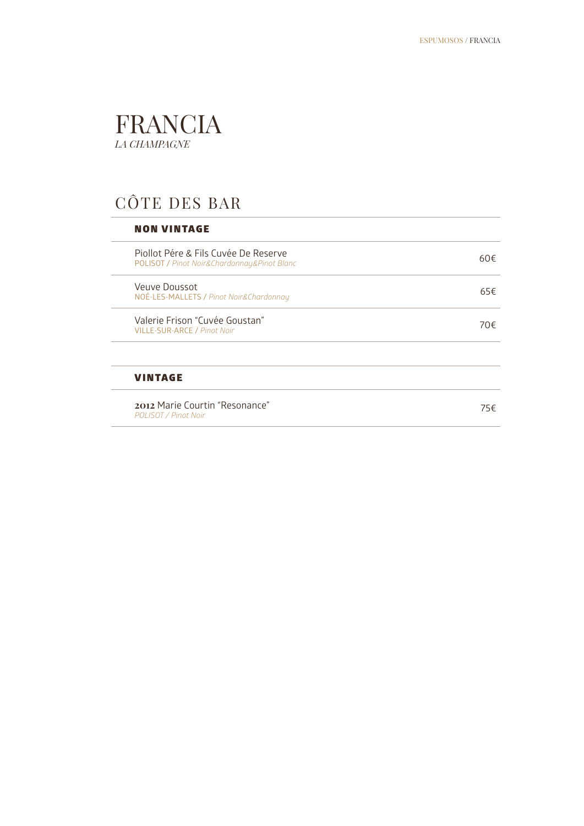### FRANCIA *LA CHAMPAGNE*

### CÔTE DES BAR

### NON VINTAGE

J.

| 2012 Marie Courtin "Resonance"<br>POLISOT / Pinot Noir                              | 75€ |
|-------------------------------------------------------------------------------------|-----|
| <b>VINTAGE</b>                                                                      |     |
|                                                                                     |     |
| Valerie Frison "Cuvée Goustan"<br><b>VILLE-SUR-ARCE / Pinot Noir</b>                | 70€ |
| Veuve Doussot<br>NOÉ-LES-MALLETS / Pinot Noir&Chardonnay                            | 65€ |
| Piollot Pére & Fils Cuvée De Reserve<br>POLISOT / Pinot Noir&Chardonnay&Pinot Blanc | 60€ |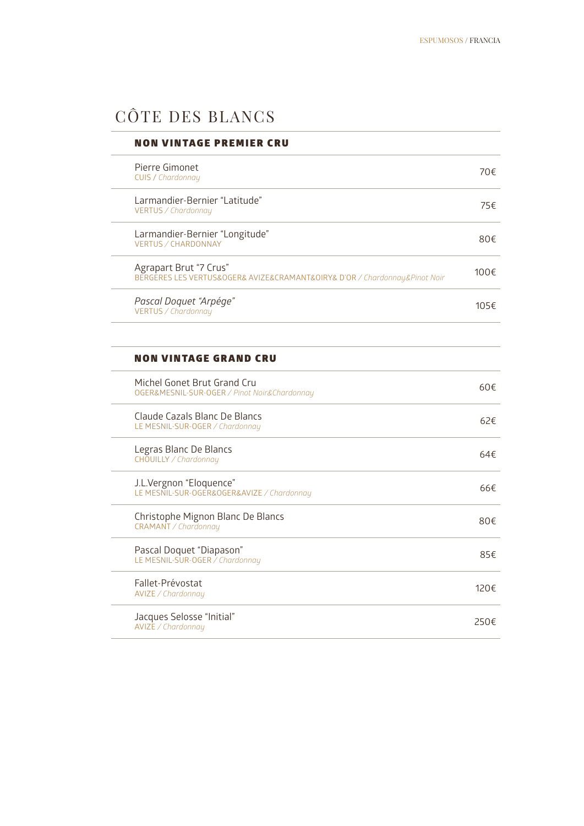### CÔTE DES BLANCS

| <b>NON VINTAGE PREMIER CRU</b>                                                                       |          |
|------------------------------------------------------------------------------------------------------|----------|
| Pierre Gimonet<br>CUIS / Chardonnay                                                                  | 70€      |
| Larmandier-Bernier "Latitude"<br>VERTUS / Chardonnay                                                 | 75€      |
| Larmandier-Bernier "Longitude"<br>VERTUS / CHARDONNAY                                                | 80€      |
| Agrapart Brut "7 Crus"<br>BERGERES LES VERTUS&OGER& AVIZE&CRAMANT&OIRY& D'OR / Chardonnay&Pinot Noir | 100€     |
| Pascal Doquet "Arpége"<br>VERTUS / Chardonnay                                                        | 105€     |
|                                                                                                      |          |
| <b>NON VINTAGE GRAND CRU</b>                                                                         |          |
| Michel Gonet Brut Grand Cru<br>OGER&MESNIL-SUR-OGER / Pinot Noir&Chardonnay                          | $60 \in$ |
| Claude Cazals Blanc De Blancs<br>LE MESNIL-SUR-OGER / Chardonnay                                     | 62f      |
| Legras Blanc De Blancs<br>CHOUILLY / Chardonnay                                                      | 64f      |
| J.L.Vergnon "Eloquence"<br>LE MESNIL-SUR-OGER&OGER&AVIZE / Chardonnay                                | 66€      |
| Christophe Mignon Blanc De Blancs<br>CRAMANT / Chardonnay                                            | 80€      |
| Pascal Doquet "Diapason"<br>LE MESNIL-SUR-OGER / Chardonnay                                          | 85€      |
| Fallet-Prévostat<br>AVIZE / Chardonnay                                                               | 120€     |
| Jacques Selosse "Initial"<br>AVIZE / Chardonnay                                                      | 250€     |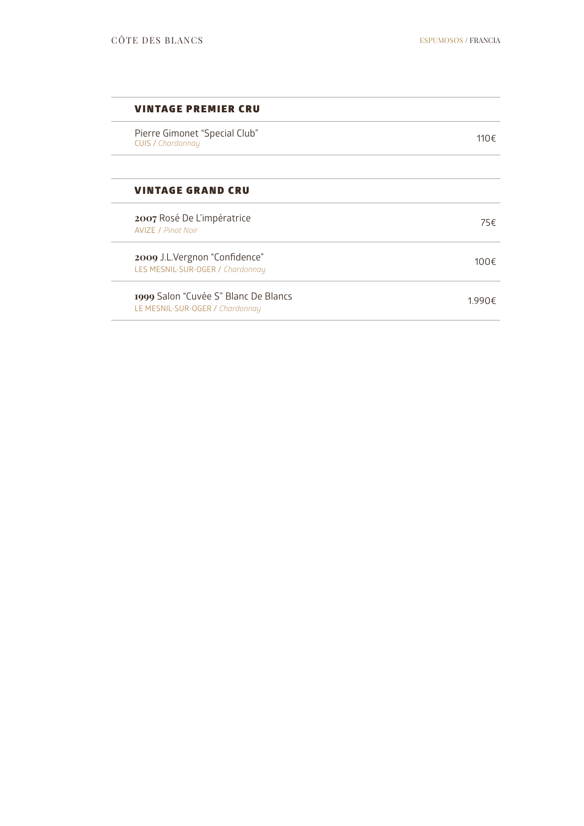### VINTAGE PREMIER CRU

Pierre Gimonet "Special Club" Pierre Gimonet "Special Club"<br>CUIS / *Chardonnay* 110€

### VINTAGE GRAND CRU

**2007** Rosé De L'impératrice AVIZE / *Pinot Noir* 75€ **2009** J.L.Vergnon "Confidence" LES MESNIL-SUR-OGER / *Chardonnay* 100€ **1999** Salon "Cuvée S" Blanc De Blancs LE MESNIL-SUR-OGER / *Chardonnay* 1.990€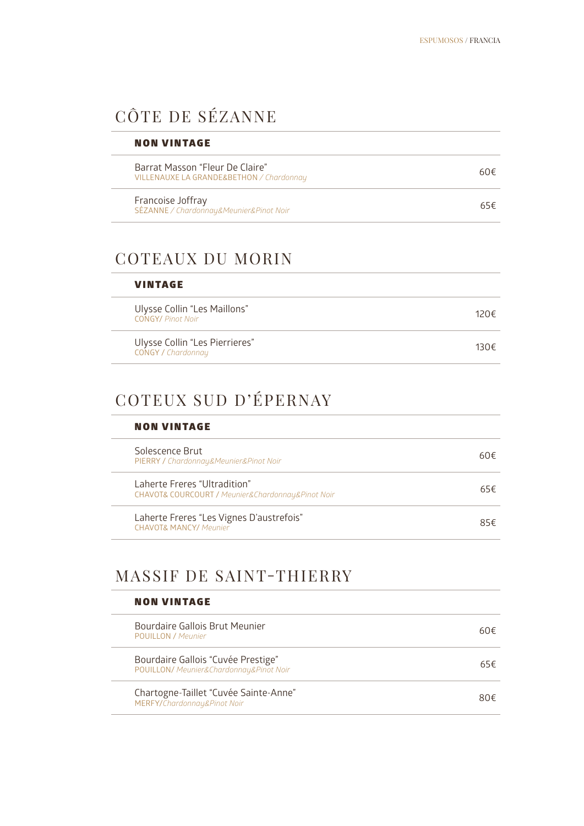### CÔTE DE SÉZANNE

| <b>NON VINTAGE</b>                                                          |     |
|-----------------------------------------------------------------------------|-----|
| Barrat Masson "Fleur De Claire"<br>VILLENAUXE LA GRANDE&BETHON / Chardonnay | 60€ |
| Francoise Joffray<br>SÉZANNE / Chardonnay&Meunier&Pinot Noir                | 65€ |

### COTEAUX DU MORIN

| <b>VINTAGE</b>                                              |                |
|-------------------------------------------------------------|----------------|
| Ulysse Collin "Les Maillons"<br><b>CONGY/ Pinot Noir</b>    | 120 $\epsilon$ |
| Ulysse Collin "Les Pierrieres"<br><b>CONGY / Chardonnay</b> | 130 $\epsilon$ |

### COTEUX SUD D'ÉPERNAY

### NON VINTAGE

| Solescence Brut<br>PIERRY / Chardonnay&Meunier&Pinot Noir                         | 60€ |
|-----------------------------------------------------------------------------------|-----|
| Laherte Freres "Ultradition"<br>CHAVOT& COURCOURT / Meunier&Chardonnay&Pinot Noir | 65€ |
| Laherte Freres "Les Vignes D'austrefois"<br><b>CHAVOT&amp; MANCY/ Meunier</b>     | 85€ |

### MASSIF DE SAINT-THIERRY

### NON VINTAGE

| Bourdaire Gallois Brut Meunier<br><b>POUILLON</b> / Meunier                   | 60€ |
|-------------------------------------------------------------------------------|-----|
| Bourdaire Gallois "Cuvée Prestige"<br>POUILLON/ Meunier&Chardonnay&Pinot Noir | 65€ |
| Chartogne-Taillet "Cuvée Sainte-Anne"<br>MERFY/Chardonnay&Pinot Noir          | 80€ |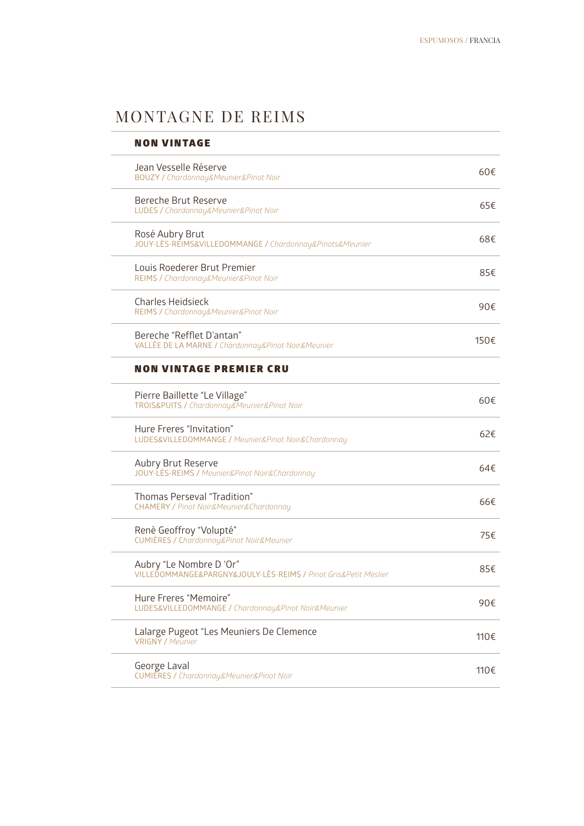### MONTAGNE DE REIMS

| <b>NON VINTAGE</b>                                                                         |      |
|--------------------------------------------------------------------------------------------|------|
| Jean Vesselle Réserve<br><b>BOUZY / Chardonnay&amp;Meunier&amp;Pinot Noir</b>              | 60€  |
| Bereche Brut Reserve<br>LUDES / Chardonnay&Meunier&Pinot Noir                              | 65€  |
| Rosé Aubry Brut<br>JOUY-LÈS-REIMS&VILLEDOMMANGE / Chardonnay&Pinots&Meunier                | 68€  |
| Louis Roederer Brut Premier<br>REIMS / Chardonnay&Meunier&Pinot Noir                       | 85€  |
| <b>Charles Heidsieck</b><br>REIMS / Chardonnay&Meunier&Pinot Noir                          | 90€  |
| Bereche "Refflet D'antan"<br>VALLÉE DE LA MARNE / Chardonnay&Pinot Noir&Meunier            | 150€ |
| <b>NON VINTAGE PREMIER CRU</b>                                                             |      |
| Pierre Baillette "Le Village"<br>TROIS&PUITS / Chardonnay&Meunier&Pinot Noir               | 60€  |
| Hure Freres "Invitation"<br>LUDES&VILLEDOMMANGE / Meunier&Pinot Noir&Chardonnay            | 62€  |
| Aubry Brut Reserve<br>JOUY-LES-REIMS / Meunier&Pinot Noir&Chardonnay                       | 64€  |
| Thomas Perseval "Tradition"<br><b>CHAMERY / Pinot Noir&amp;Meunier&amp;Chardonnay</b>      | 66€  |
| Renè Geoffroy "Volupté"<br><b>CUMIÈRES / Chardonnay&amp;Pinot Noir&amp;Meunier</b>         | 75€  |
| Aubry "Le Nombre D 'Or"<br>VILLEDOMMANGE&PARGNY&JOULY-LÈS-REIMS / Pinot Gris&Petit Meslier | 85€  |
| Hure Freres "Memoire"<br>LUDES&VILLEDOMMANGE / Chardonnay&Pinot Noir&Meunier               | 90€  |
| Lalarge Pugeot "Les Meuniers De Clemence<br><b>VRIGNY / Meunier</b>                        | 110€ |
| George Laval<br>CUMIÉRES / Chardonnay&Meunier&Pinot Noir                                   | 110€ |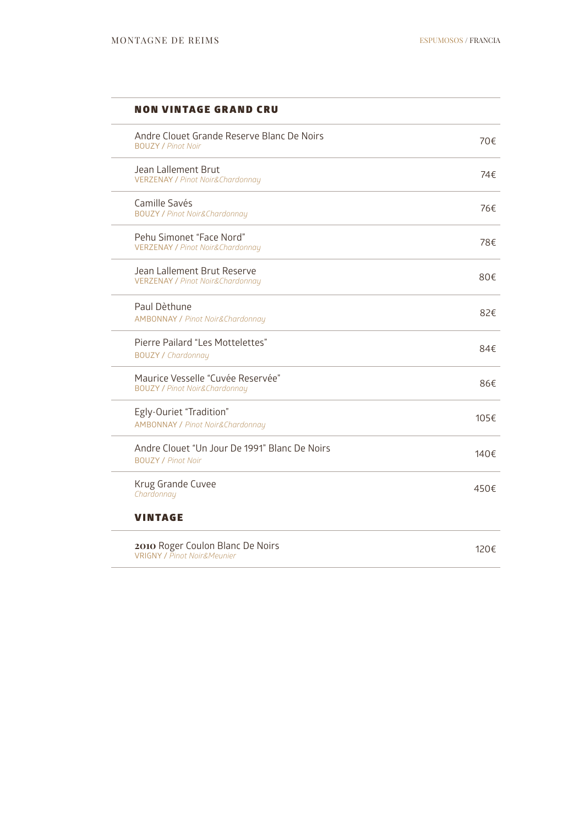$\overline{a}$ 

### NON VINTAGE GRAND CRU

| Andre Clouet Grande Reserve Blanc De Noirs<br><b>BOUZY / Pinot Noir</b>       | 70€  |
|-------------------------------------------------------------------------------|------|
| Jean Lallement Brut<br><b>VERZENAY / Pinot Noir&amp;Chardonnay</b>            | 74€  |
| Camille Savés<br><b>BOUZY / Pinot Noir&amp;Chardonnay</b>                     | 76€  |
| Pehu Simonet "Face Nord"<br><b>VERZENAY / Pinot Noir&amp;Chardonnay</b>       | 78€  |
| Jean Lallement Brut Reserve<br><b>VERZENAY / Pinot Noir&amp;Chardonnay</b>    | 80€  |
| Paul Dèthune<br><b>AMBONNAY / Pinot Noir&amp;Chardonnay</b>                   | 82€  |
| Pierre Pailard "Les Mottelettes"<br><b>BOUZY / Chardonnay</b>                 | 84€  |
| Maurice Vesselle "Cuvée Reservée"<br><b>BOUZY / Pinot Noir&amp;Chardonnay</b> | 86€  |
| Egly-Ouriet "Tradition"<br><b>AMBONNAY / Pinot Noir&amp;Chardonnay</b>        | 105€ |
| Andre Clouet "Un Jour De 1991" Blanc De Noirs<br><b>BOUZY / Pinot Noir</b>    | 140€ |
| Krug Grande Cuvee<br>Chardonnay                                               | 450€ |
| <b>VINTAGE</b>                                                                |      |
| 2010 Roger Coulon Blanc De Noirs<br><b>VRIGNY / Pinot Noir&amp;Meunier</b>    | 120€ |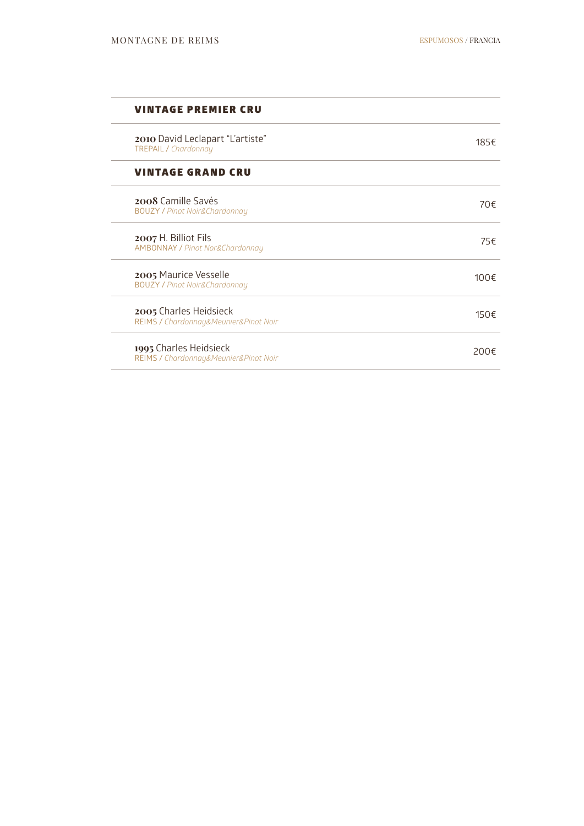$\overline{a}$ 

### VINTAGE PREMIER CRU

| 2010 David Leclapart "L'artiste"<br><b>TREPAIL / Chardonnay</b>       | 185€ |
|-----------------------------------------------------------------------|------|
| <b>VINTAGE GRAND CRU</b>                                              |      |
| <b>2008 Camille Savés</b><br><b>BOUZY / Pinot Noir&amp;Chardonnay</b> | 70€  |
| 2007 H. Billiot Fils<br><b>AMBONNAY / Pinot Nor&amp;Chardonnay</b>    | 75€  |
| 2005 Maurice Vesselle<br><b>BOUZY / Pinot Noir&amp;Chardonnay</b>     | 100€ |
| 2005 Charles Heidsieck<br>REIMS / Chardonnay&Meunier&Pinot Noir       | 150€ |
| 1995 Charles Heidsieck<br>REIMS / Chardonnay&Meunier&Pinot Noir       | 200€ |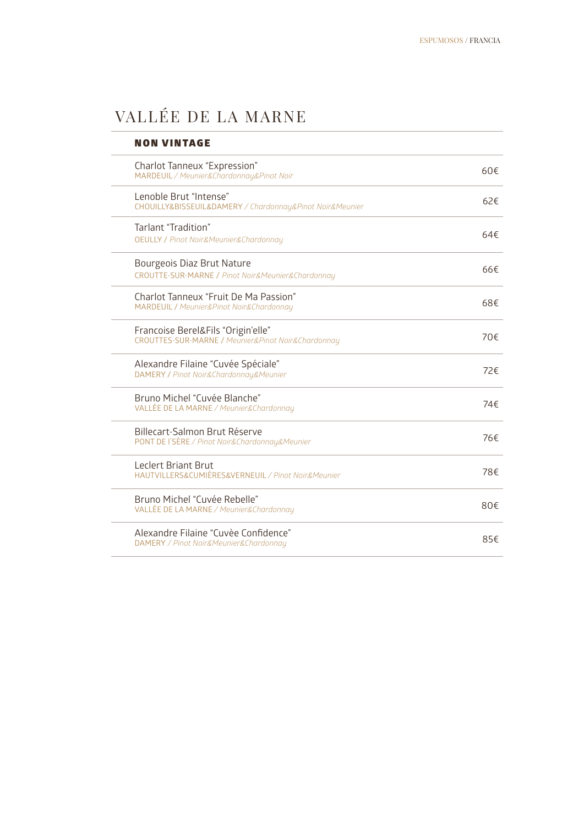### VALLÉE DE LA MARNE

| <b>NON VINTAGE</b>                                                                               |               |
|--------------------------------------------------------------------------------------------------|---------------|
| Charlot Tanneux "Expression"<br>MARDEUIL / Meunier&Chardonnay&Pinot Noir                         | $60 \in$      |
| Lenoble Brut "Intense"<br>CHOUILLY&BISSEUIL&DAMERY / Chardonnay&Pinot Noir&Meunier               | $62 \notin$   |
| Tarlant "Tradition"<br><b>OEULLY / Pinot Noir&amp;Meunier&amp;Chardonnay</b>                     | 64f           |
| Bourgeois Diaz Brut Nature<br>CROUTTE-SUR-MARNE / Pinot Noir&Meunier&Chardonnay                  | $66 \epsilon$ |
| Charlot Tanneux "Fruit De Ma Passion"<br><b>MARDEUIL / Meunier&amp;Pinot Noir&amp;Chardonnay</b> | 68€           |
| Francoise Berel&Fils "Origin'elle"<br>CROUTTES-SUR-MARNE / Meunier&Pinot Noir&Chardonnay         | 70€           |
| Alexandre Filaine "Cuvée Spéciale"<br>DAMERY / Pinot Noir&Chardonnay&Meunier                     | 72€           |
| Bruno Michel "Cuvée Blanche"<br>VALLÉE DE LA MARNE / Meunier&Chardonnay                          | 74€           |
| Billecart-Salmon Brut Réserve<br>PONT DE l'SÈRE / Pinot Noir&Chardonnay&Meunier                  | 76€           |
| <b>Leclert Briant Brut</b><br>HAUTVILLERS&CUMIÈRES&VERNEUIL / Pinot Noir&Meunier                 | 78€           |
| Bruno Michel "Cuvée Rebelle"<br>VALLÉE DE LA MARNE / Meunier&Chardonnay                          | 80€           |
| Alexandre Filaine "Cuvèe Confidence"<br>DAMERY / Pinot Noir&Meunier&Chardonnay                   | 85€           |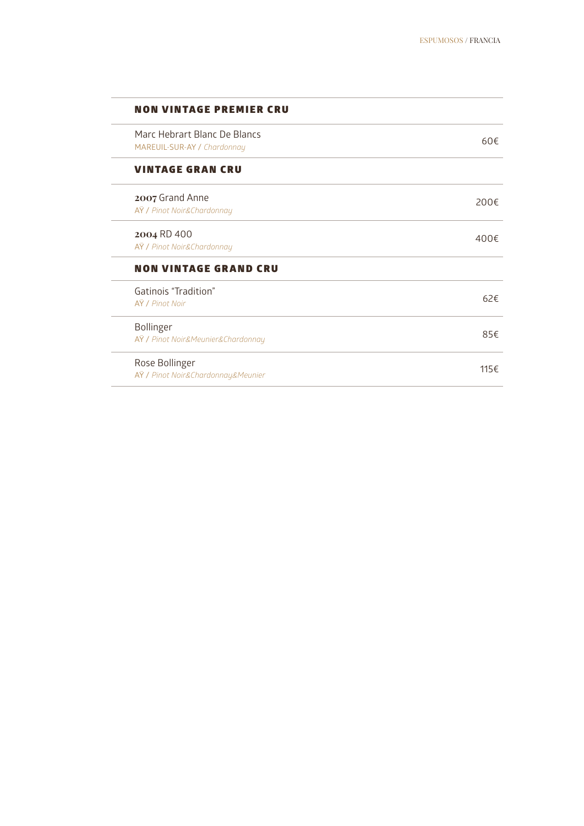### NON VINTAGE PREMIER CRU

| Marc Hebrart Blanc De Blancs<br>MAREUIL-SUR-AY / Chardonnay | 60f          |
|-------------------------------------------------------------|--------------|
| <b>VINTAGE GRAN CRU</b>                                     |              |
| 2007 Grand Anne<br>AŸ / Pinot Noir&Chardonnay               | 200€         |
| 2004 RD 400<br>AŸ / Pinot Noir&Chardonnay                   | 400 $\notin$ |
| <b>NON VINTAGE GRAND CRU</b>                                |              |
| Gatinois "Tradition"<br>AŸ / Pinot Noir                     | 62E          |
| <b>Bollinger</b><br>AŸ / Pinot Noir&Meunier&Chardonnay      | 85€          |
| Rose Bollinger<br>AŸ / Pinot Noir&Chardonnay&Meunier        | 115€         |
|                                                             |              |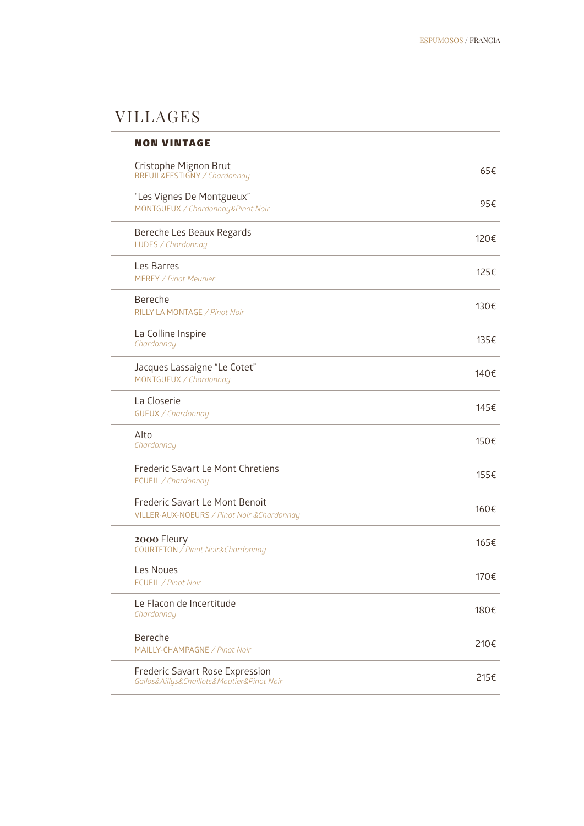### VILLAGES

| <b>NON VINTAGE</b>                                                            |      |
|-------------------------------------------------------------------------------|------|
| Cristophe Mignon Brut<br><b>BREUIL&amp;FESTIGNY / Chardonnay</b>              | 65€  |
| "Les Vignes De Montgueux"<br>MONTGUEUX / Chardonnay&Pinot Noir                | 95€  |
| Bereche Les Beaux Regards<br>LUDES / Chardonnay                               | 120€ |
| Les Barres<br><b>MERFY / Pinot Meunier</b>                                    | 125€ |
| Bereche<br>RILLY LA MONTAGE / Pinot Noir                                      | 130€ |
| La Colline Inspire<br>Chardonnay                                              | 135€ |
| Jacques Lassaigne "Le Cotet"<br>MONTGUEUX / Chardonnay                        | 140€ |
| La Closerie<br>GUEUX / Chardonnay                                             | 145€ |
| Alto<br>Chardonnay                                                            | 150€ |
| Frederic Savart Le Mont Chretiens<br>ECUEIL / Chardonnay                      | 155€ |
| Frederic Savart Le Mont Benoit<br>VILLER-AUX-NOEURS / Pinot Noir & Chardonnay | 160€ |
| 2000 Fleury<br><b>COURTETON</b> / Pinot Noir&Chardonnay                       | 165€ |
| Les Noues<br>ECUEIL / Pinot Noir                                              | 170€ |
| Le Flacon de Incertitude<br>Chardonnay                                        | 180€ |
| Bereche<br>MAILLY-CHAMPAGNE / Pinot Noir                                      | 210€ |
| Frederic Savart Rose Expression<br>Gallos&Aillys&Chaillots&Moutier&Pinot Noir | 215€ |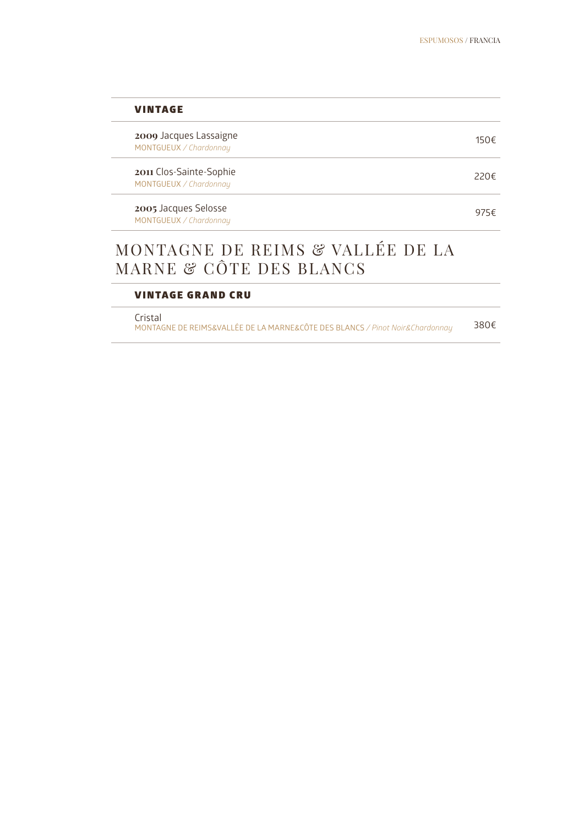| <b>VINTAGE</b>                                    |      |
|---------------------------------------------------|------|
| 2009 Jacques Lassaigne<br>MONTGUEUX / Chardonnay  | 150€ |
| 2011 Clos-Sainte-Sophie<br>MONTGUEUX / Chardonnay | 220€ |
| 2005 Jacques Selosse<br>MONTGUEUX / Chardonnay    | 975€ |
| MONTAGNE DE REIMS & VALLÉE DE LA                  |      |

### MONTAGNE DE REIMS & VALLÉE DE LA MARNE & CÔTE DES BLANCS

### VINTAGE GRAND CRU

Cristal

MONTAGNE DE REIMS&VALLÉE DE LA MARNE&CÔTE DES BLANCS */ Pinot Noir&Chardonnay* 380€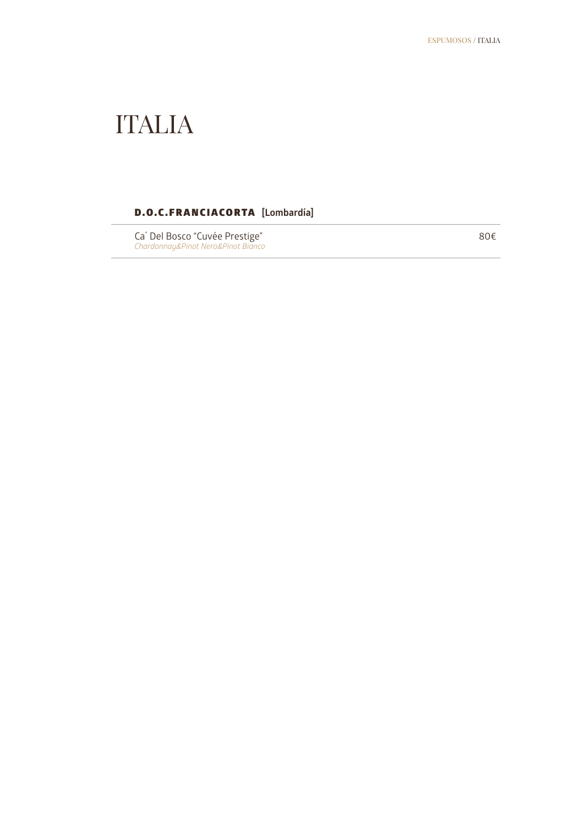### ITALIA

### D.O.C.FRANCIACORTA **[Lombardía]**

Ca´ Del Bosco "Cuvée Prestige" *Chardonnay&Pinot Nero&Pinot Bianco* 80€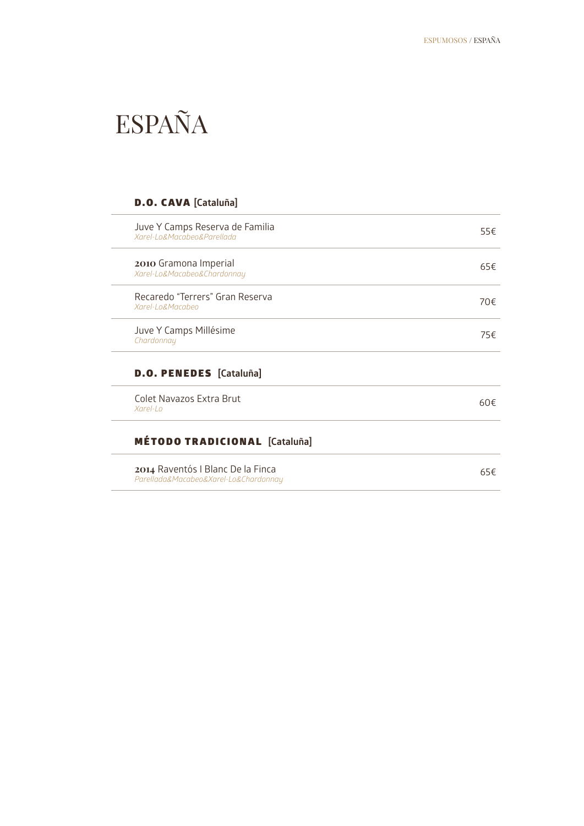### ESPAÑA

### D.O. CAVA **[Cataluña]**

| Juve Y Camps Reserva de Familia<br>Xarel-Lo&Macabeo&Parellada              | 55€ |
|----------------------------------------------------------------------------|-----|
| 2010 Gramona Imperial<br>Xarel-Lo&Macabeo&Chardonnay                       | 65€ |
| Recaredo "Terrers" Gran Reserva<br>Xarel-Lo&Macabeo                        | 70€ |
| Juve Y Camps Millésime<br>Chardonnay                                       | 75€ |
| <b>D.O. PENEDES</b> [Cataluña]                                             |     |
| Colet Navazos Extra Brut<br>$X$ arel-Lo                                    | 60f |
| <b>MÉTODO TRADICIONAL [Cataluña]</b>                                       |     |
| 2014 Raventós I Blanc De la Finca<br>Parellada&Macabeo&Xarel-Lo&Chardonnay | 65€ |
|                                                                            |     |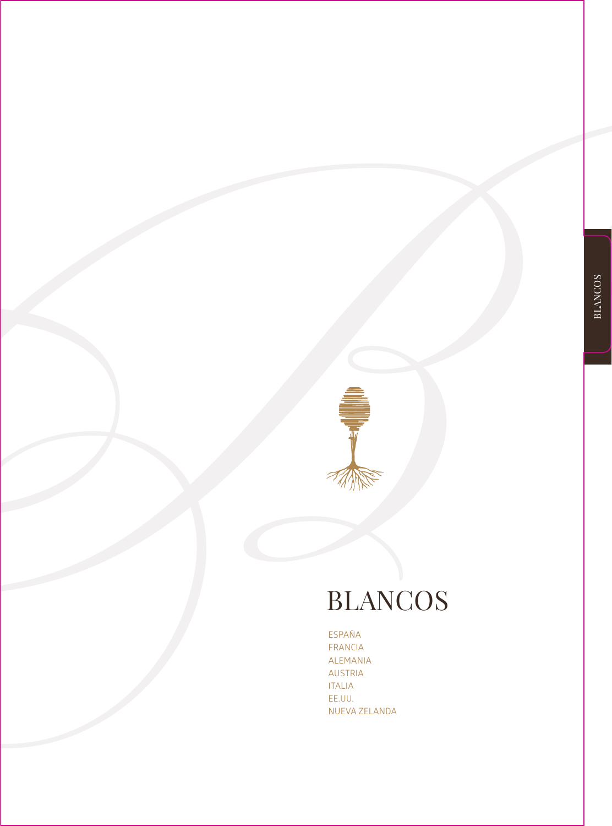

ESPAÑA FRANCIA ALEMANIA AUSTRIA ITALIA EE.UU. NUEVA ZELANDA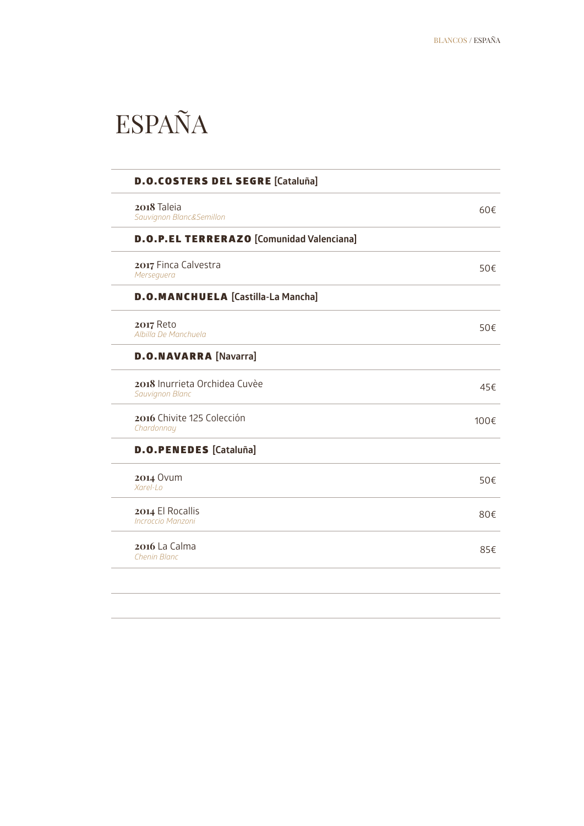### ESPAÑA

| 2018 Taleia<br>Sauvignon Blanc&Semillon          |  |
|--------------------------------------------------|--|
| <b>D.O.P.EL TERRERAZO [Comunidad Valenciana]</b> |  |
| 2017 Finca Calvestra<br>Merseguera               |  |
| <b>D.O.MANCHUELA [Castilla-La Mancha]</b>        |  |
| <b>2017 Reto</b><br>Albilla De Manchuela         |  |
| <b>D.O.NAVARRA [Navarra]</b>                     |  |
| 2018 Inurrieta Orchidea Cuvèe<br>Sauvignon Blanc |  |
| 2016 Chivite 125 Colección<br>Chardonnay         |  |
| <b>D.O.PENEDES</b> [Cataluña]                    |  |
| <b>2014 Ovum</b><br>Xarel-Lo                     |  |
| 2014 El Rocallis<br>Incroccio Manzoni            |  |
| 2016 La Calma<br>Chenin Blanc                    |  |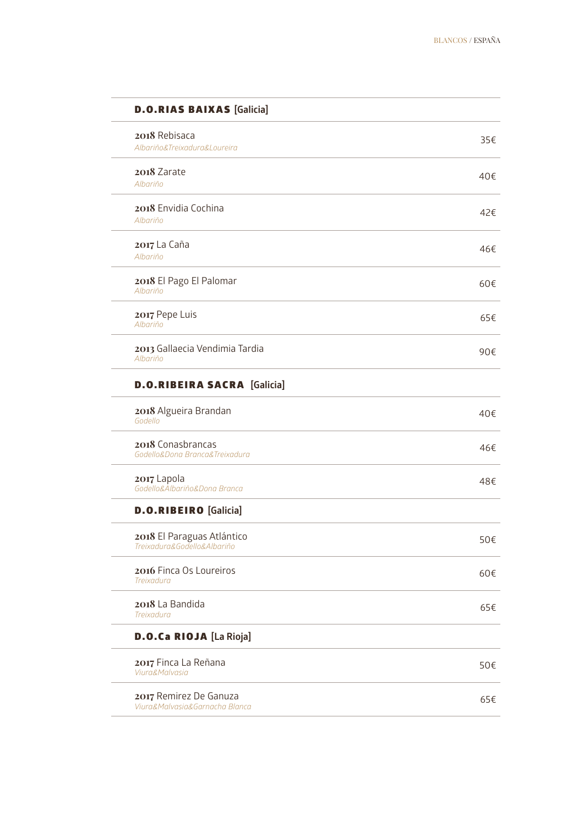| 2018 Rebisaca                                             |     |
|-----------------------------------------------------------|-----|
| Albariño&Treixadura&Loureira                              | 35€ |
| 2018 Zarate                                               | 40€ |
| Albariño                                                  |     |
| 2018 Envidia Cochina<br>Albariño                          | 42€ |
|                                                           |     |
| 2017 La Caña<br>Albariño                                  | 46€ |
| 2018 El Pago El Palomar                                   |     |
| Albariño                                                  | 60€ |
| 2017 Pepe Luis                                            | 65€ |
| Albariño                                                  |     |
| 2013 Gallaecia Vendimia Tardia<br>Albariño                | 90€ |
| <b>D.O.RIBEIRA SACRA</b> [Galicia]                        |     |
| 2018 Algueira Brandan<br>Godello                          | 40€ |
| 2018 Conasbrancas                                         | 46€ |
| Godello&Dona Branca&Treixadura                            |     |
| 2017 Lapola<br>Godello&Albariño&Dona Branca               | 48€ |
| <b>D.O.RIBEIRO</b> [Galicia]                              |     |
|                                                           |     |
| 2018 El Paraguas Atlántico<br>Treixadura&Godello&Albariño | 50€ |
| 2016 Finca Os Loureiros                                   | 60€ |
| Treixadura                                                |     |
| 2018 La Bandida<br><b>Treixadura</b>                      | 65€ |
|                                                           |     |
|                                                           |     |
| D.O.Ca RIOJA [La Rioja]<br>2017 Finca La Reñana           | 50€ |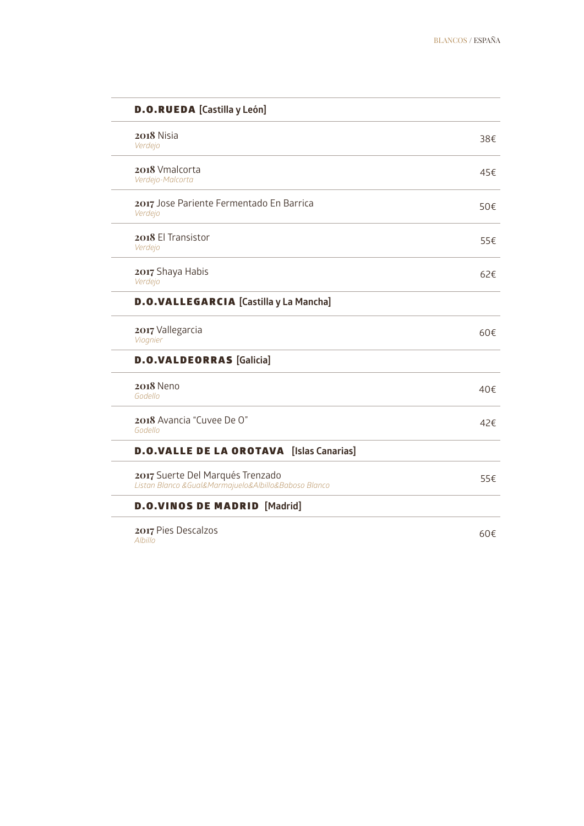| <b>D.O.RUEDA</b> [Castilla y León]                                                           |     |
|----------------------------------------------------------------------------------------------|-----|
| 2018 Nisia<br>Verdejo                                                                        | 38€ |
| 2018 Vmalcorta<br>Verdejo-Malcorta                                                           | 45€ |
| 2017 Jose Pariente Fermentado En Barrica<br>Verdejo                                          | 50€ |
| 2018 El Transistor<br>Verdejo                                                                | 55€ |
| 2017 Shaya Habis<br>Verdejo                                                                  | 62€ |
| <b>D.O.VALLEGARCIA</b> [Castilla y La Mancha]                                                |     |
| 2017 Vallegarcia<br>Viognier                                                                 | 60€ |
| <b>D.O.VALDEORRAS</b> [Galicia]                                                              |     |
| <b>2018</b> Neno<br>Godello                                                                  | 40€ |
| 2018 Avancia "Cuvee De O"<br>Godello                                                         | 42€ |
| <b>D.O.VALLE DE LA OROTAVA</b> [Islas Canarias]                                              |     |
| 2017 Suerte Del Marqués Trenzado<br>Listan Blanco & Gual& Marmajuelo& Albillo& Baboso Blanco | 55€ |
| <b>D.O.VINOS DE MADRID</b> [Madrid]                                                          |     |
| 2017 Pies Descalzos<br>Albillo                                                               | 60€ |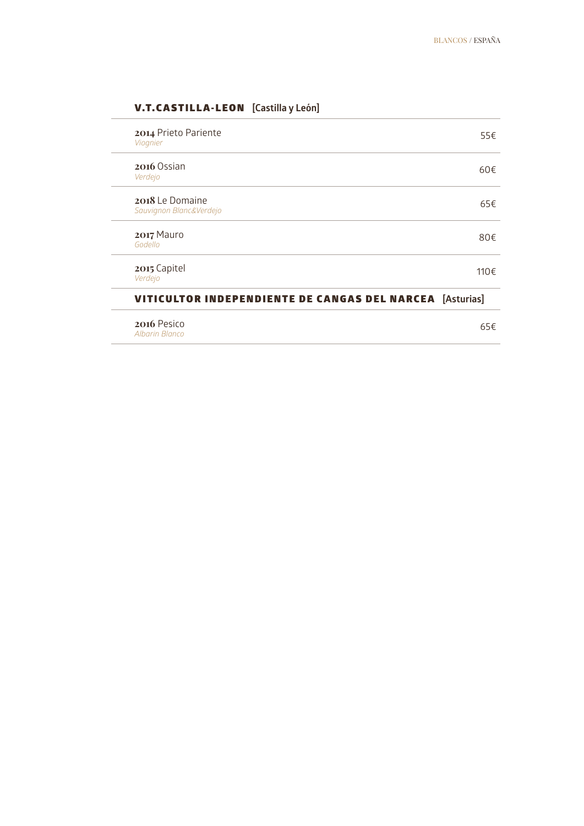### V.T.CASTILLA-LEON **[Castilla y León]**

| 2014 Prieto Pariente<br>Viognier                                | 55€  |
|-----------------------------------------------------------------|------|
| 2016 Ossian<br>Verdejo                                          | 60€  |
| 2018 Le Domaine<br>Sauvignon Blanc&Verdejo                      | 65€  |
| 2017 Mauro<br>Godello                                           | 80€  |
| 2015 Capitel<br>Verdejo                                         | 110€ |
| <b>VITICULTOR INDEPENDIENTE DE CANGAS DEL NARCEA</b> [Asturias] |      |
| 2016 Pesico                                                     | 65€  |

**2016** Pesico *Albarin Blanco*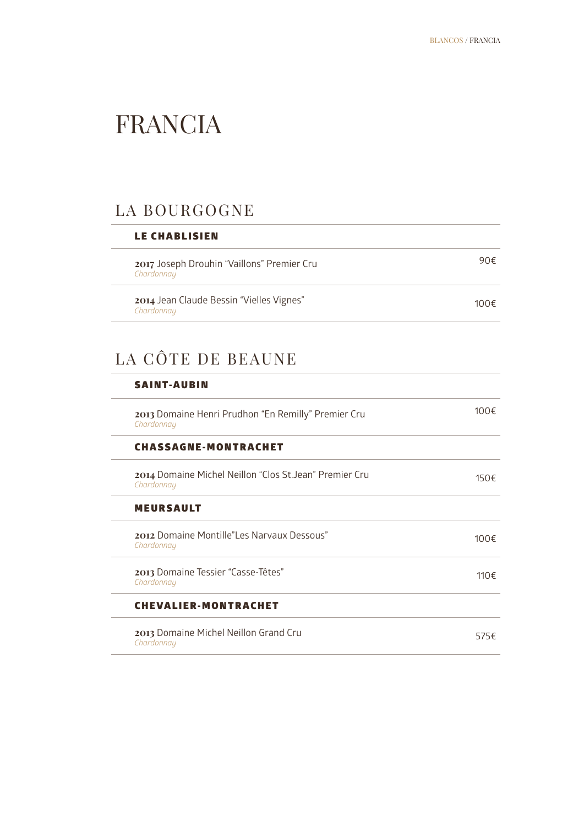### FRANCIA

### LA BOURGOGNE

| <b>LE CHABLISIEN</b>                                     |      |  |
|----------------------------------------------------------|------|--|
| 2017 Joseph Drouhin "Vaillons" Premier Cru<br>Chardonnay | 90€  |  |
| 2014 Jean Claude Bessin "Vielles Vignes"<br>Chardonnay   | 100€ |  |

### LA CÔTE DE BEAUNE

| $100 \in$    |
|--------------|
|              |
| 150€         |
|              |
| $100 \in$    |
| 110 $\notin$ |
|              |
| 575€         |
|              |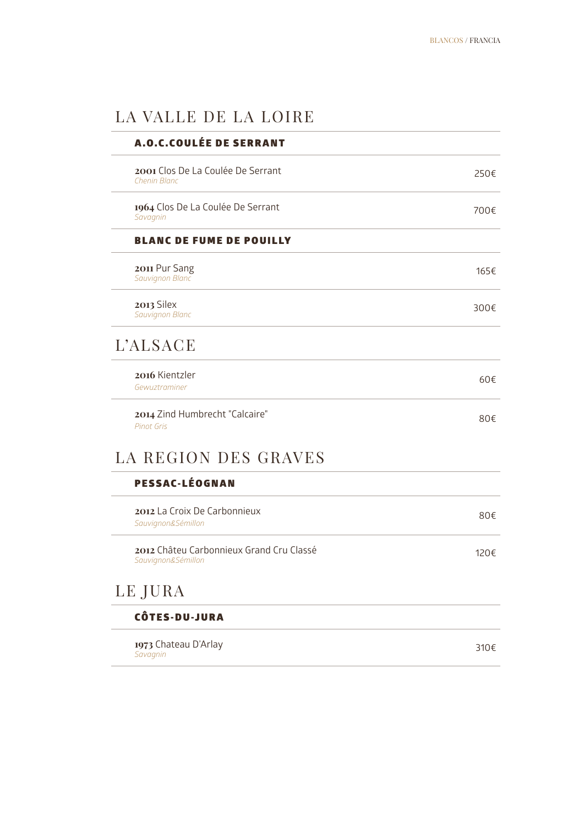### LA VALLE DE LA LOIRE

| <b>A.O.C.COULÉE DE SERRANT</b>                                 |      |
|----------------------------------------------------------------|------|
| 2001 Clos De La Coulée De Serrant<br><b>Chenin Blanc</b>       | 250€ |
| 1964 Clos De La Coulée De Serrant<br>Savagnin                  | 700€ |
| <b>BLANC DE FUME DE POUILLY</b>                                |      |
| 2011 Pur Sang<br>Sauvignon Blanc                               | 165€ |
| 2013 Silex<br>Sauvignon Blanc                                  | 300€ |
| <b>L'ALSACE</b>                                                |      |
| 2016 Kientzler<br>Gewuztraminer                                | 60€  |
| 2014 Zind Humbrecht "Calcaire"<br><b>Pinot Gris</b>            | 80€  |
| LA REGION DES GRAVES                                           |      |
| <b>PESSAC-LÉOGNAN</b>                                          |      |
| 2012 La Croix De Carbonnieux<br>Sauvignon&Sémillon             | 80€  |
| 2012 Châteu Carbonnieux Grand Cru Classé<br>Sauvignon&Sémillon | 120€ |
| LE JURA                                                        |      |
| <b>CÔTES-DU-JURA</b>                                           |      |
| 1973 Chateau D'Arlay<br>Savagnin                               | 310€ |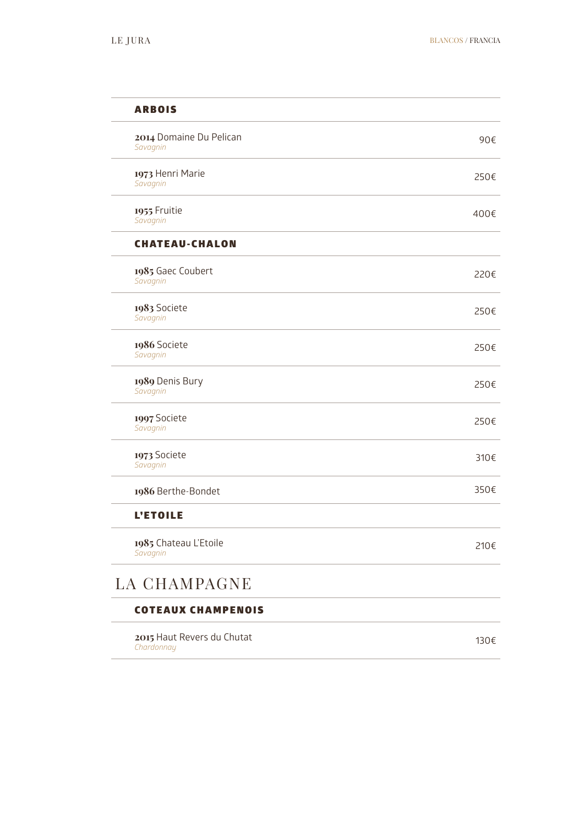| <b>ARBOIS</b>                            |      |
|------------------------------------------|------|
| 2014 Domaine Du Pelican<br>Savagnin      | 90€  |
| 1973 Henri Marie<br>Savagnin             | 250€ |
| 1955 Fruitie<br>Savagnin                 | 400€ |
| <b>CHATEAU-CHALON</b>                    |      |
| 1985 Gaec Coubert<br>Savagnin            | 220€ |
| 1983 Societe<br>Savagnin                 | 250€ |
| 1986 Societe<br>Savagnin                 | 250€ |
| 1989 Denis Bury<br>Savagnin              | 250€ |
| 1997 Societe<br>Savagnin                 | 250€ |
| 1973 Societe<br>Savagnin                 | 310€ |
| 1986 Berthe-Bondet                       | 350€ |
| <b>L'ETOILE</b>                          |      |
| 1985 Chateau L'Etoile<br>Savagnin        | 210€ |
| LA CHAMPAGNE                             |      |
| <b>COTEAUX CHAMPENOIS</b>                |      |
| 2015 Haut Revers du Chutat<br>Chardonnay | 130€ |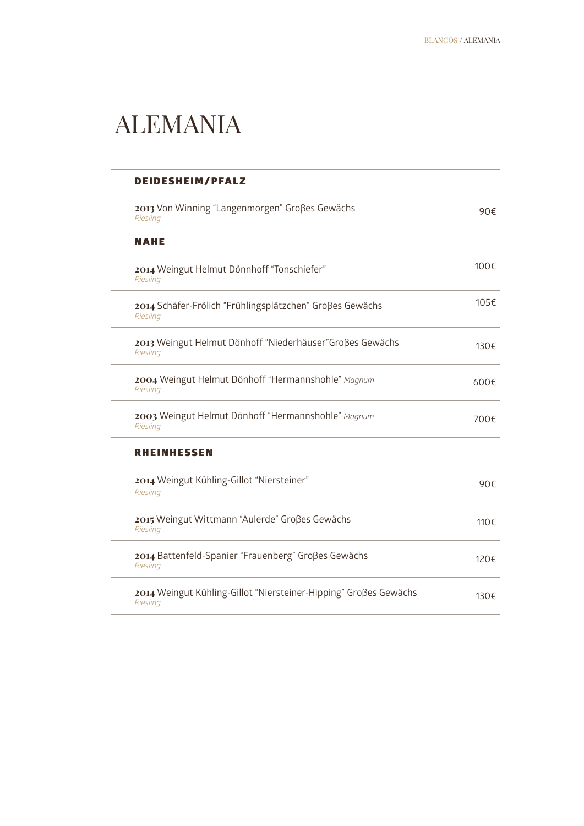### ALEMANIA

| <b>DEIDESHEIM/PFALZ</b>                                                      |              |
|------------------------------------------------------------------------------|--------------|
| 2013 Von Winning "Langenmorgen" Großes Gewächs<br>Riesling                   | 90€          |
| <b>NAHE</b>                                                                  |              |
| 2014 Weingut Helmut Dönnhoff "Tonschiefer"<br>Riesling                       | 100 $\notin$ |
| 2014 Schäfer-Frölich "Frühlingsplätzchen" Großes Gewächs<br>Riesling         | 105€         |
| 2013 Weingut Helmut Dönhoff "Niederhäuser" Großes Gewächs<br>Riesling        | 130€         |
| 2004 Weingut Helmut Dönhoff "Hermannshohle" Magnum<br>Riesling               | 600€         |
| 2003 Weingut Helmut Dönhoff "Hermannshohle" Magnum<br>Riesling               | 700€         |
| <b>RHEINHESSEN</b>                                                           |              |
| 2014 Weingut Kühling-Gillot "Niersteiner"<br>Riesling                        | 90€          |
| 2015 Weingut Wittmann "Aulerde" Groβes Gewächs<br>Riesling                   | 110€         |
| 2014 Battenfeld-Spanier "Frauenberg" Großes Gewächs<br>Riesling              | 120€         |
| 2014 Weingut Kühling-Gillot "Niersteiner-Hipping" Großes Gewächs<br>Riesling | 130€         |
|                                                                              |              |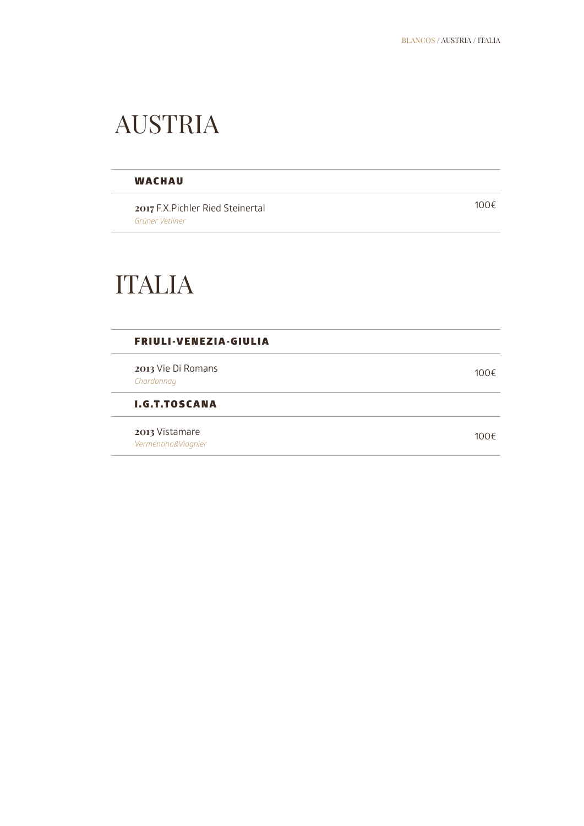### AUSTRIA

### **WACHAU**

**2017** F.X.Pichler Ried Steinertal *Grüner Vetliner*

100€

### ITALIA

### FRIULI-VENEZIA-GIULIA

**2013** Vie Di Romans 2013 vie Drivonians<br>Chardonnay **100€** 

I.G.T.TOSCANA

**2013** Vistamare *Vermentino&Viognier*100€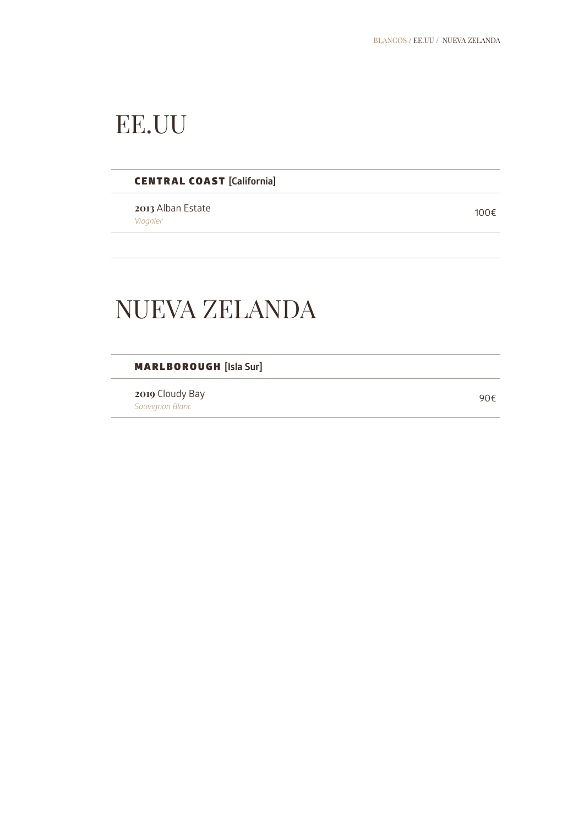### EE.UU

### CENTRAL COAST **[California]**

**2013** Alban Estate *Viognier*100€

### NUEVA ZELANDA

MARLBOROUGH **[Isla Sur]**

**2019** Cloudy Bay **2019** Cloudy Bay<br>Sauvignon Blanc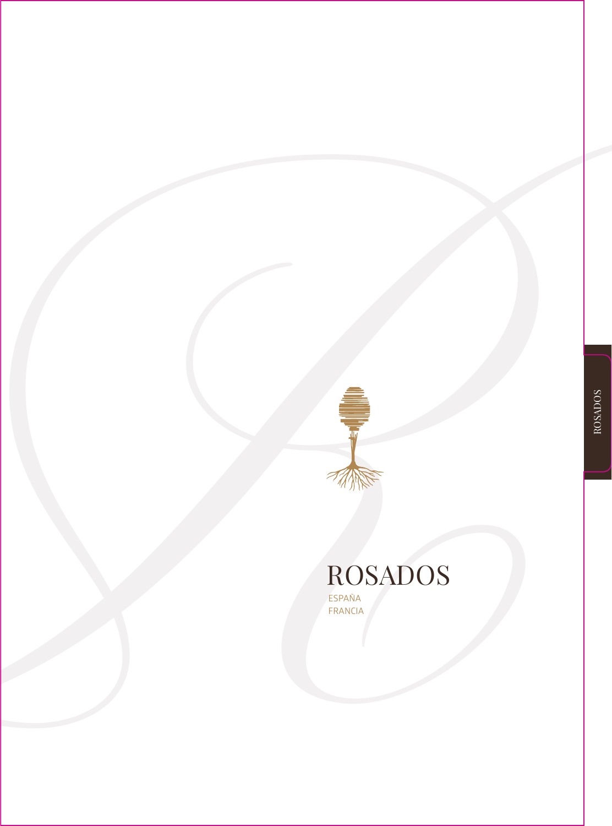### **ROSADOS** ROSADOS ESPAÑA FRANCIA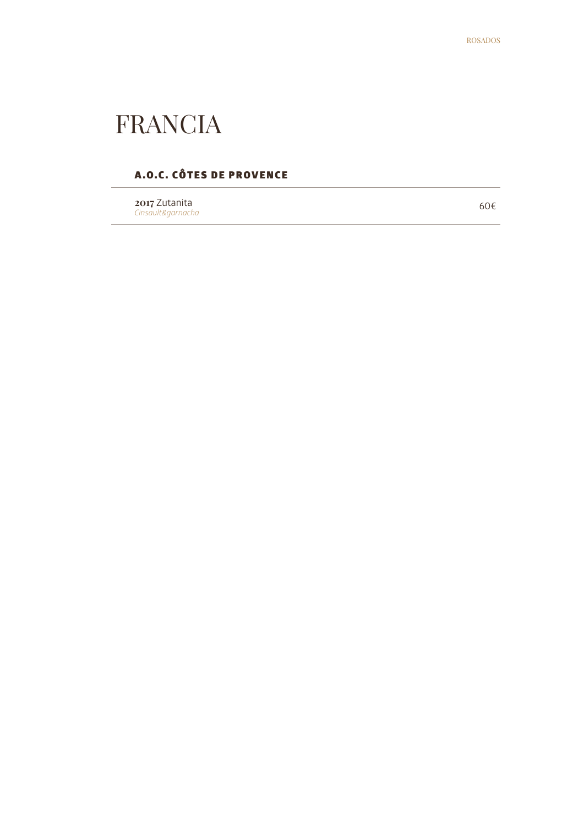### FRANCIA

### A.O.C. CÔTES DE PROVENCE

**2017** Zutanita *Cinsault&garnacha*

60€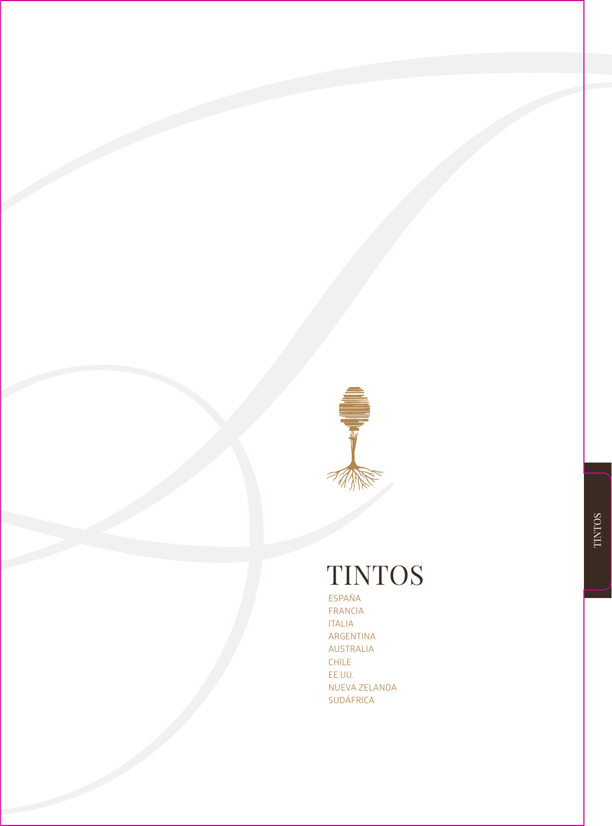

### TINTOS

ESPAÑA FRANCIA ITALIA ARGENTINA AUSTRALIA CHILE EE.UU.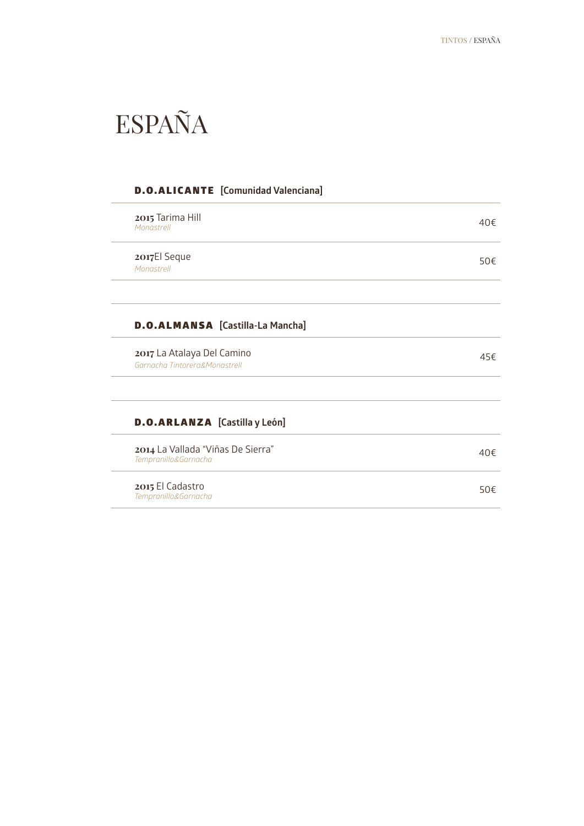### ESPAÑA

|                                                             | <b>D.O.ALICANTE</b> [Comunidad Valenciana] |     |
|-------------------------------------------------------------|--------------------------------------------|-----|
| 2015 Tarima Hill<br>Monastrell                              |                                            | 40f |
| 2017El Seque<br>Monastrell                                  |                                            | 50€ |
|                                                             |                                            |     |
|                                                             | <b>D.O.ALMANSA</b> [Castilla-La Mancha]    |     |
| 2017 La Atalaya Del Camino<br>Garnacha Tintorera&Monastrell |                                            | 45€ |
|                                                             |                                            |     |
| <b>D.O.ARLANZA</b> [Castilla y León]                        |                                            |     |
| 2014 La Vallada "Viñas De Sierra"<br>Tempranillo&Garnacha   |                                            | 40f |
| 2015 El Cadastro<br>Tempranillo&Garnacha                    |                                            | 50f |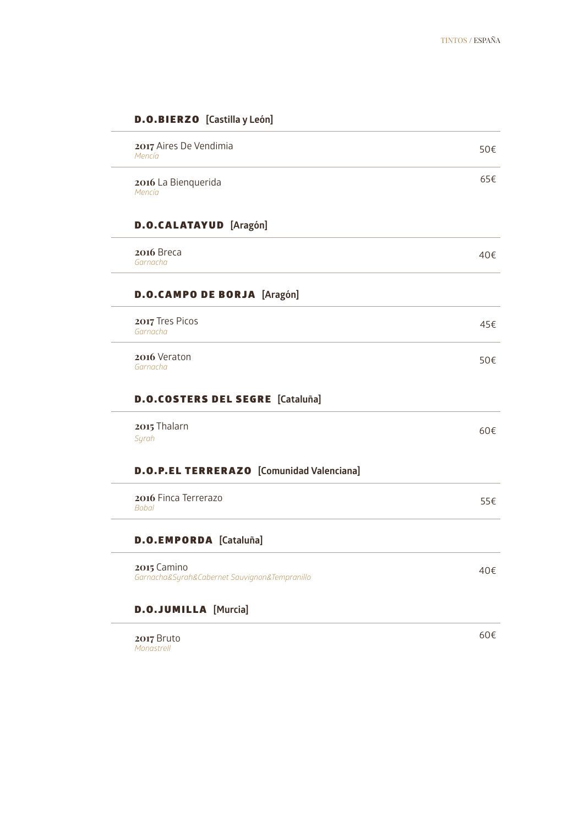50€

65€

40€

45€

50€

60€

### **2017** Aires De Vendimia *Mencía* **2016** La Bienquerida *Mencía* **D.O.CALATAYUD** [Aragón] **2016** Breca *Garnacha* D.O.CAMPO DE BORJA **[Aragón]**

**2017** Tres Picos *Garnacha*

**2016** Veraton *Garnacha*

### D.O.COSTERS DEL SEGRE **[Cataluña]**

**2015** Thalarn *Syrah*

### D.O.P.EL TERRERAZO **[Comunidad Valenciana]**

**2016** Finca Terrerazo *Bobal* 55€

### D.O.EMPORDA **[Cataluña]**

**2015** Camino *Garnacha&Syrah&Cabernet Sauvignon&Tempranillo*

### D.O.JUMILLA **[Murcia]**

**2017** Bruto *Monastrell*

40€

### D.O.BIERZO **[Castilla y León]**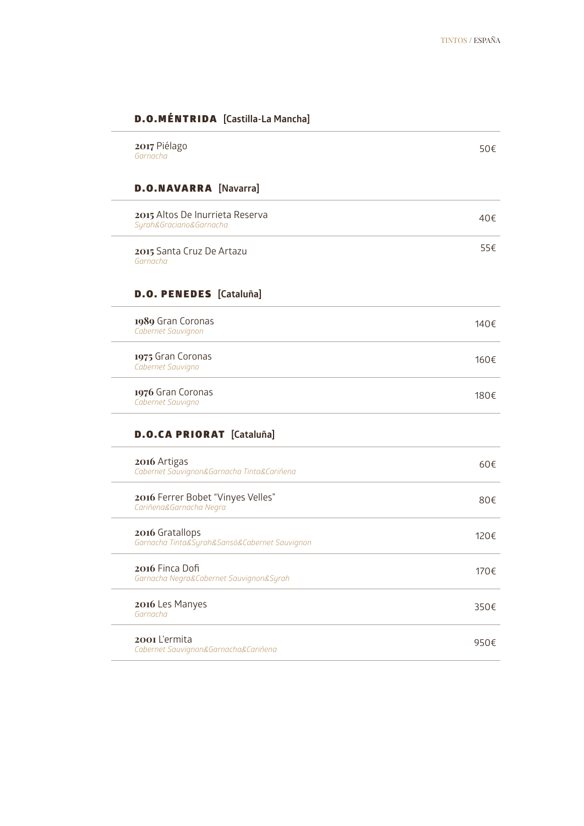### D.O.MÉNTRIDA **[Castilla-La Mancha]**

| 2017 Piélago<br>Garnacha                                         | 50€  |
|------------------------------------------------------------------|------|
| <b>D.O.NAVARRA</b> [Navarra]                                     |      |
| 2015 Altos De Inurrieta Reserva<br>Syrah&Graciano&Garnacha       | 40€  |
| 2015 Santa Cruz De Artazu<br>Garnacha                            | 55€  |
| <b>D.O. PENEDES</b> [Cataluña]                                   |      |
| 1989 Gran Coronas<br>Cabernet Sauvignon                          | 140€ |
| 1975 Gran Coronas<br>Cabernet Sauvigno                           | 160€ |
| 1976 Gran Coronas<br>Cabernet Sauvigno                           | 180€ |
| <b>D.O.CA PRIORAT</b> [Cataluña]                                 |      |
| 2016 Artigas<br>Cabernet Sauvignon&Garnacha Tinta&Cariñena       | 60€  |
| 2016 Ferrer Bobet "Vinyes Velles"<br>Cariñena&Garnacha Negra     | 80€  |
| 2016 Gratallops<br>Garnacha Tinta&Syrah&Sansó&Cabernet Sauvignon | 120€ |
| 2016 Finca Dofi<br>Garnacha Negra&Cabernet Sauvignon&Syrah       | 170€ |
| 2016 Les Manyes<br>Garnacha                                      | 350€ |
| 2001 L'ermita<br>Cabernet Sauvignon&Garnacha&Cariñena            | 950€ |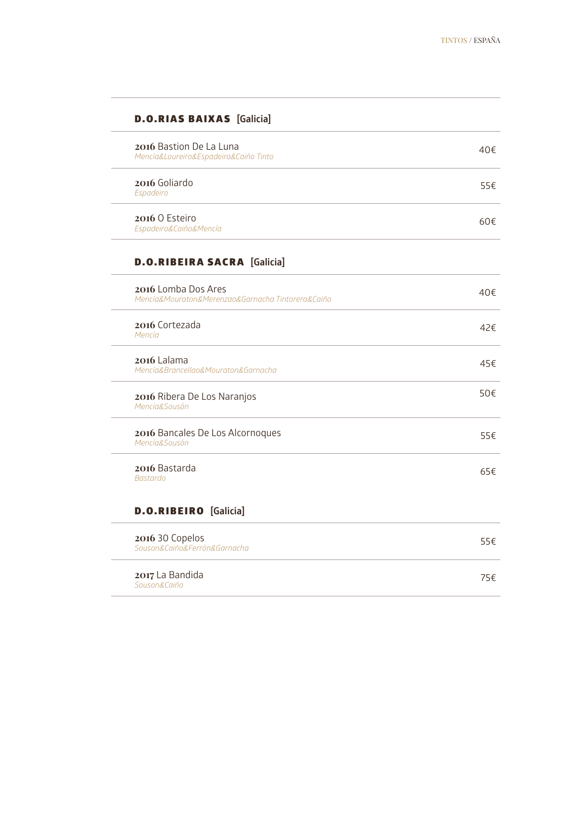| <b>D.O.RIAS BAIXAS</b> [Galicia]                                         |     |
|--------------------------------------------------------------------------|-----|
| 2016 Bastion De La Luna<br>Mencía&Loureiro&Espadeiro&Caiño Tinto         | 40€ |
| 2016 Goliardo<br>Espadeiro                                               | 55€ |
| 2016 O Esteiro<br>Espadeiro&Caiño&Mencía                                 | 60€ |
| <b>D.O.RIBEIRA SACRA</b> [Galicia]                                       |     |
| 2016 Lomba Dos Ares<br>Mencía&Mouraton&Merenzao&Garnacha Tintorera&Caiño | 40f |
| 2016 Cortezada<br>Mencía                                                 | 42€ |
| 2016 Lalama<br>Mencía&Brancellao&Mouraton&Garnacha                       | 45€ |
| 2016 Ribera De Los Naranjos<br>Mencía&Sousón                             | 50€ |
| 2016 Bancales De Los Alcornoques<br>Mencía&Sousón                        | 55€ |
| 2016 Bastarda<br><b>Bastardo</b>                                         | 65€ |
| <b>D.O.RIBEIRO</b> [Galicia]                                             |     |
| 2016 30 Copelos<br>Souson&Caiño&Ferrón&Garnacha                          | 55€ |
| 2017 La Bandida<br>Souson&Caiño                                          | 75€ |

L.

J.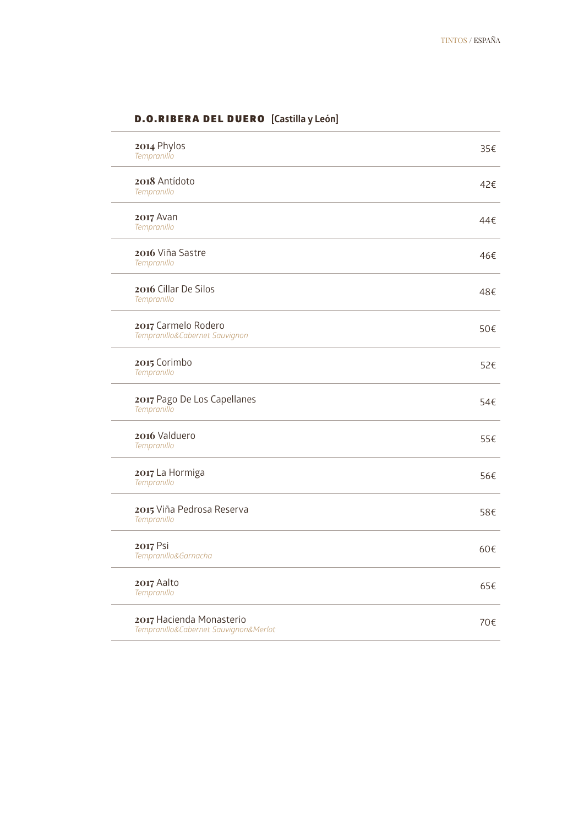| 2014 Phylos<br>Tempranillo                                        | 35€ |
|-------------------------------------------------------------------|-----|
| 2018 Antídoto<br>Tempranillo                                      | 42€ |
| $2017$ Avan<br>Tempranillo                                        | 44€ |
| 2016 Viña Sastre<br>Tempranillo                                   | 46€ |
| 2016 Cillar De Silos<br>Tempranillo                               | 48€ |
| 2017 Carmelo Rodero<br>Tempranillo&Cabernet Sauvignon             | 50€ |
| 2015 Corimbo<br>Tempranillo                                       | 52€ |
| 2017 Pago De Los Capellanes<br>Tempranillo                        | 54€ |
| 2016 Valduero<br>Tempranillo                                      | 55€ |
| 2017 La Hormiga<br>Tempranillo                                    | 56€ |
| 2015 Viña Pedrosa Reserva<br>Tempranillo                          | 58€ |
| 2017 Psi<br>Tempranillo&Garnacha                                  | 60€ |
| 2017 Aalto<br>Tempranillo                                         | 65€ |
| 2017 Hacienda Monasterio<br>Tempranillo&Cabernet Sauvignon&Merlot | 70€ |

### D.O.RIBERA DEL DUERO **[Castilla y León]**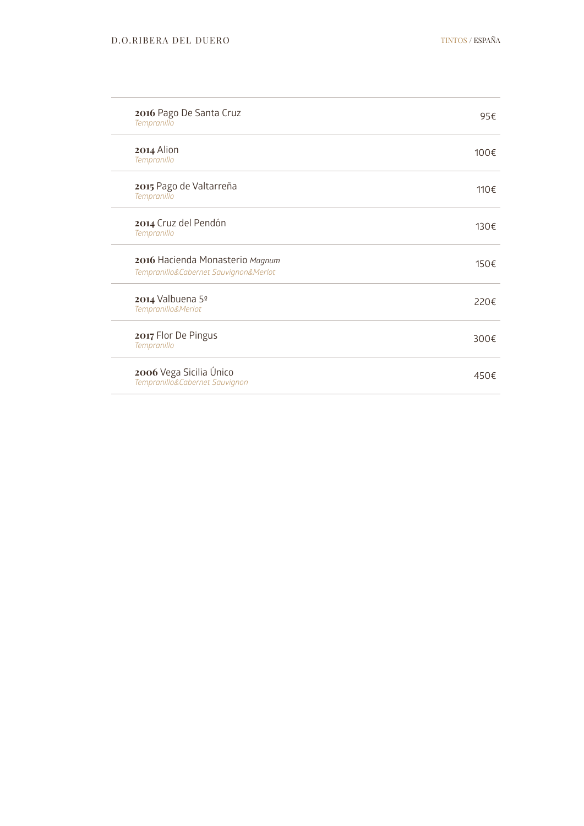| 2016 Pago De Santa Cruz<br>Tempranillo                                   | 95€  |
|--------------------------------------------------------------------------|------|
| 2014 Alion<br>Tempranillo                                                | 100€ |
| 2015 Pago de Valtarreña<br>Tempranillo                                   | 110€ |
| 2014 Cruz del Pendón<br>Tempranillo                                      | 130€ |
| 2016 Hacienda Monasterio Magnum<br>Tempranillo&Cabernet Sauvignon&Merlot | 150€ |
| 2014 Valbuena 5º<br>Tempranillo&Merlot                                   | 220€ |
| 2017 Flor De Pingus<br>Tempranillo                                       | 300€ |
| 2006 Vega Sicilia Único<br>Tempranillo&Cabernet Sauvignon                | 450€ |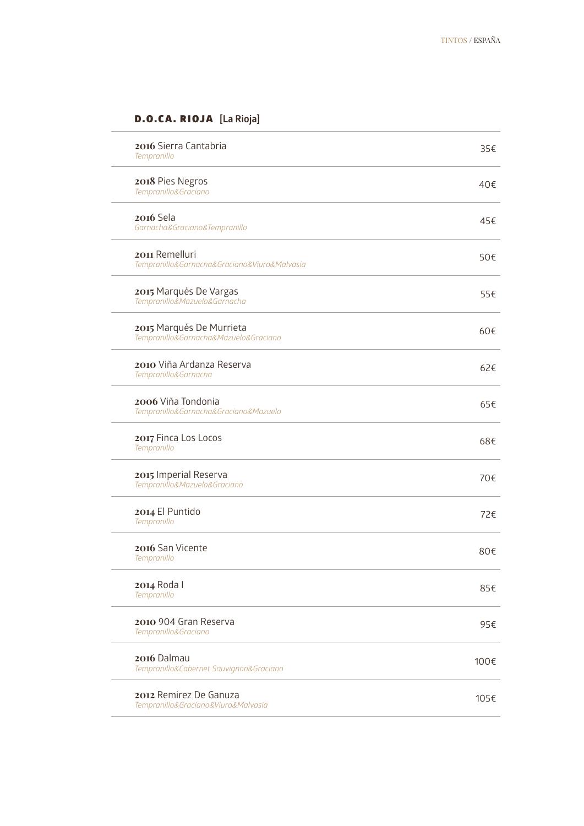### D.O.CA. RIOJA **[La Rioja]**

| 2016 Sierra Cantabria<br>Tempranillo                              | 35€  |
|-------------------------------------------------------------------|------|
| 2018 Pies Negros<br>Tempranillo&Graciano                          | 40€  |
| <b>2016 Sela</b><br>Garnacha&Graciano&Tempranillo                 | 45€  |
| 2011 Remelluri<br>Tempranillo&Garnacha&Graciano&Viura&Malvasia    | 50€  |
| 2015 Marqués De Vargas<br>Tempranillo&Mazuelo&Garnacha            | 55€  |
| 2015 Marqués De Murrieta<br>Tempranillo&Garnacha&Mazuelo&Graciano | 60€  |
| 2010 Viña Ardanza Reserva<br>Tempranillo&Garnacha                 | 62€  |
| 2006 Viña Tondonia<br>Tempranillo&Garnacha&Graciano&Mazuelo       | 65€  |
| 2017 Finca Los Locos<br>Tempranillo                               | 68€  |
| 2015 Imperial Reserva<br>Tempranillo&Mazuelo&Graciano             | 70€  |
| 2014 El Puntido<br>Tempranillo                                    | 72€  |
| 2016 San Vicente<br>Tempranillo                                   | 80€  |
| 2014 Roda I<br>Tempranillo                                        | 85€  |
| 2010 904 Gran Reserva<br>Tempranillo&Graciano                     | 95€  |
| 2016 Dalmau<br>Tempranillo&Cabernet Sauvignon&Graciano            | 100€ |
| 2012 Remirez De Ganuza<br>Tempranillo&Graciano&Viura&Malvasia     | 105€ |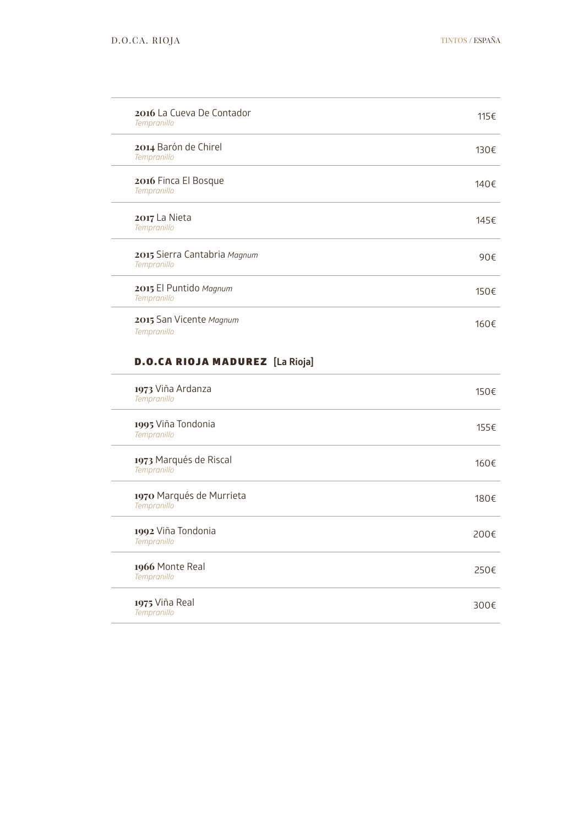300€

| 2016 La Cueva De Contador<br>Tempranillo    | 115€ |
|---------------------------------------------|------|
| 2014 Barón de Chirel<br>Tempranillo         | 130€ |
| 2016 Finca El Bosque<br>Tempranillo         | 140€ |
| 2017 La Nieta<br>Tempranillo                | 145€ |
| 2015 Sierra Cantabria Magnum<br>Tempranillo | 90€  |
| 2015 El Puntido Magnum<br>Tempranillo       | 150€ |
| 2015 San Vicente Magnum<br>Tempranillo      | 160€ |
| <b>D.O.CA RIOJA MADUREZ</b> [La Rioja]      |      |
| 1973 Viña Ardanza<br>Tempranillo            | 150€ |
| 1995 Viña Tondonia<br>Tempranillo           | 155€ |
| 1973 Marqués de Riscal<br>Tempranillo       | 160€ |
| 1970 Marqués de Murrieta<br>Tempranillo     | 180€ |
| 1992 Viña Tondonia<br>Tempranillo           | 200€ |
| 1966 Monte Real                             | 250€ |

*Tempranillo*

**1975** Viña Real *Tempranillo*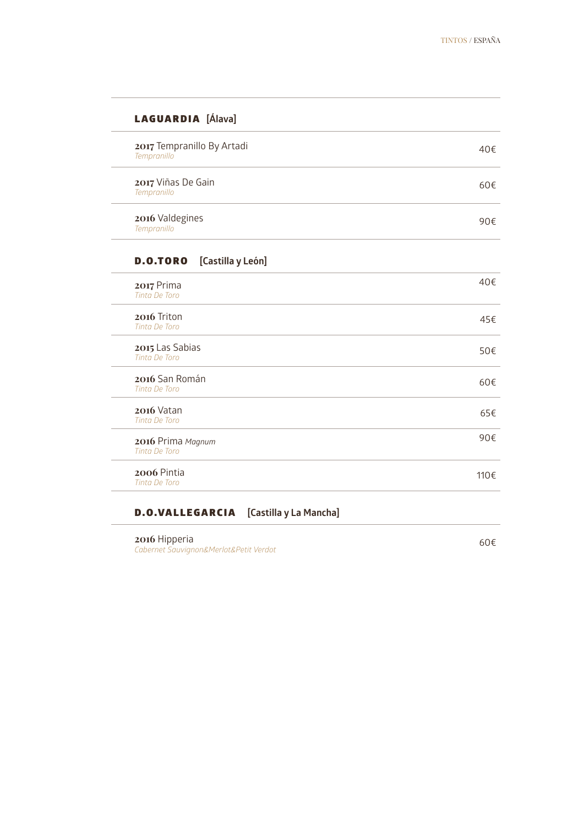90€

### LAGUARDIA **[Álava]**

| 2017 Tempranillo By Artadi<br>Tempranillo | 40€ |
|-------------------------------------------|-----|
| 2017 Viñas De Gain<br>Tempranillo         | 60€ |

### **2016** Valdegines *Tempranillo*

 $\overline{a}$ 

### D.O.TORO **[Castilla y León]**

| 2017 Prima<br>Tinta De Toro         | 40f  |
|-------------------------------------|------|
| 2016 Triton<br><b>Tinta De Toro</b> | 45€  |
| 2015 Las Sabias<br>Tinta De Toro    | 50€  |
| 2016 San Román<br>Tinta De Toro     | 60€  |
| $2016$ Vatan<br>Tinta De Toro       | 65€  |
| 2016 Prima Magnum<br>Tinta De Toro  | 90€  |
| 2006 Pintia<br>Tinta De Toro        | 110€ |

### D.O.VALLEGARCIA **[Castilla y La Mancha]**

**2016** Hipperia *Cabernet Sauvignon&Merlot&Petit Verdot* 60€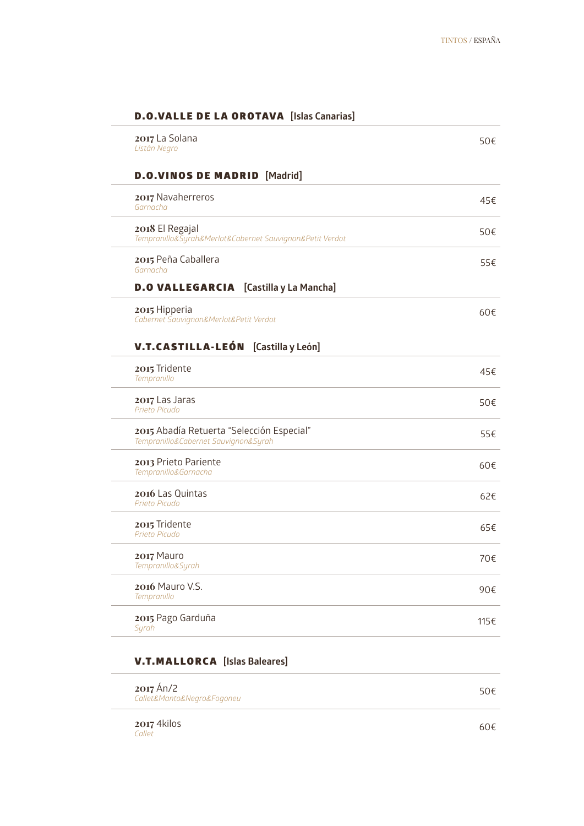| 2017 La Solana<br>Listán Negro                                                    | 50€ |
|-----------------------------------------------------------------------------------|-----|
| <b>D.O.VINOS DE MADRID</b> [Madrid]                                               |     |
| 2017 Navaherreros<br>Garnacha                                                     | 45€ |
| 2018 El Regajal<br>Tempranillo&Syrah&Merlot&Cabernet Sauvignon&Petit Verdot       | 50€ |
| 2015 Peña Caballera<br>Garnacha                                                   | 55€ |
| <b>D.O VALLEGARCIA</b> [Castilla y La Mancha]                                     |     |
| 2015 Hipperia<br>Cabernet Sauvignon&Merlot&Petit Verdot                           | 60€ |
| <b>V.T.CASTILLA-LEÓN</b> [Castilla y León]                                        |     |
| 2015 Tridente<br>Tempranillo                                                      | 45€ |
| 2017 Las Jaras<br>Prieto Picudo                                                   | 50€ |
| 2015 Abadía Retuerta "Selección Especial"<br>Tempranillo&Cabernet Sauvignon&Syrah | 55€ |
| 2013 Prieto Pariente<br>Tempranillo&Garnacha                                      | 60€ |
| 2016 Las Quintas<br>Prieto Picudo                                                 | 62€ |
| 2015 Tridente<br>Prieto Picudo                                                    | 65€ |
| 2017 Mauro<br>Tempranillo&Syrah                                                   | 70€ |
|                                                                                   |     |
| 2016 Mauro V.S.<br>Tempranillo                                                    | 90€ |

### V.T.MALLORCA **[Islas Baleares]**

| $2017$ Án/2<br>Callet&Manto&Negro&Fogoneu | 50€ |
|-------------------------------------------|-----|
|                                           |     |

**2017** 4kilos *Callet*

 $\overline{\phantom{a}}$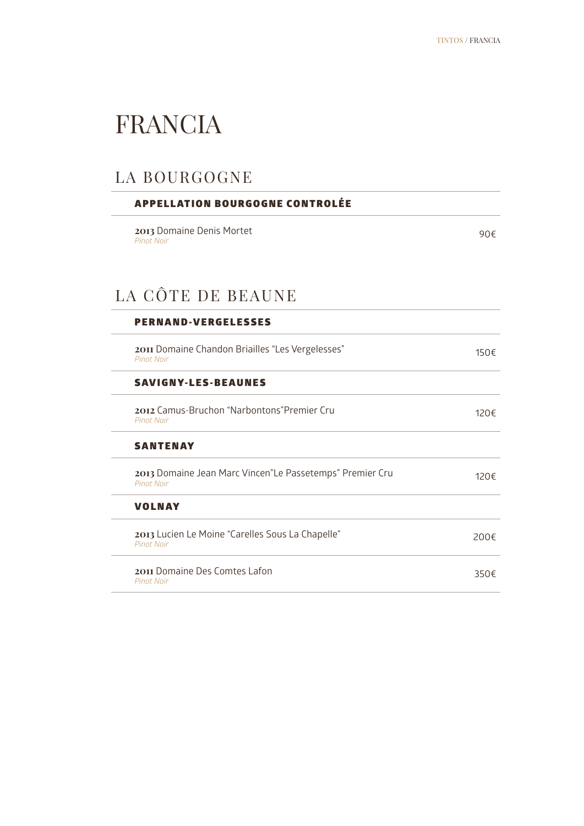### FRANCIA

### LA BOURGOGNE

| <b>APPELLATION BOURGOGNE CONTROLÉE</b>                                        |                |
|-------------------------------------------------------------------------------|----------------|
| 2013 Domaine Denis Mortet<br><b>Pinot Noir</b>                                | 90€            |
| LA CÔTE DE BEAUNE                                                             |                |
| <b>PERNAND-VERGELESSES</b>                                                    |                |
| 2011 Domaine Chandon Briailles "Les Vergelesses"<br><b>Pinot Noir</b>         | 150€           |
| <b>SAVIGNY-LES-BEAUNES</b>                                                    |                |
| 2012 Camus-Bruchon "Narbontons" Premier Cru<br><b>Pinot Noir</b>              | 120€           |
| <b>SANTENAY</b>                                                               |                |
| 2013 Domaine Jean Marc Vincen"Le Passetemps" Premier Cru<br><b>Pinot Noir</b> | $120 \epsilon$ |
| <b>VOLNAY</b>                                                                 |                |
| 2013 Lucien Le Moine "Carelles Sous La Chapelle"<br><b>Pinot Noir</b>         | 200€           |
| 2011 Domaine Des Comtes Lafon<br><b>Pinot Noir</b>                            | 350€           |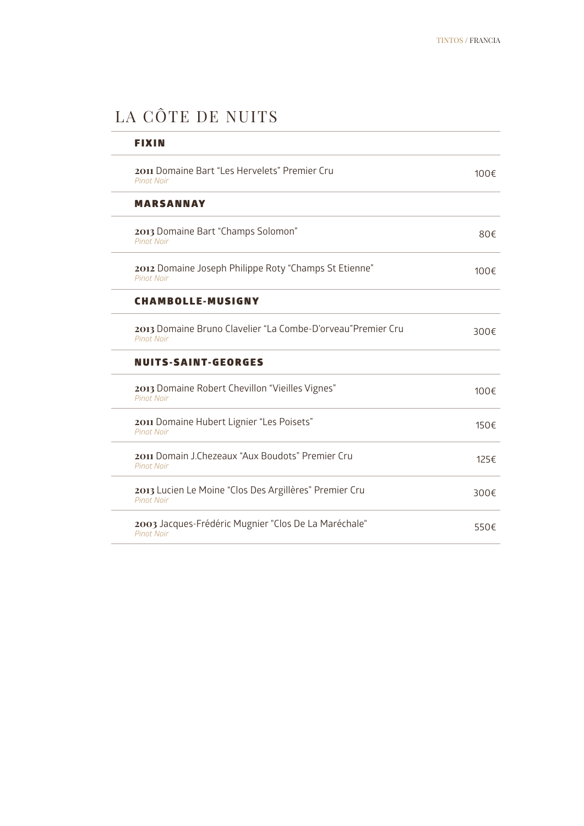### LA CÔTE DE NUITS

| FIXIN                                                                            |           |
|----------------------------------------------------------------------------------|-----------|
| 2011 Domaine Bart "Les Hervelets" Premier Cru<br><b>Pinot Noir</b>               | 100€      |
| <b>MARSANNAY</b>                                                                 |           |
| 2013 Domaine Bart "Champs Solomon"<br><b>Pinot Noir</b>                          | 80€       |
| 2012 Domaine Joseph Philippe Roty "Champs St Etienne"<br><b>Pinot Noir</b>       | 100€      |
| <b>CHAMBOLLE-MUSIGNY</b>                                                         |           |
| 2013 Domaine Bruno Clavelier "La Combe-D'orveau"Premier Cru<br><b>Pinot Noir</b> | 300€      |
| <b>NUITS-SAINT-GEORGES</b>                                                       |           |
| 2013 Domaine Robert Chevillon "Vieilles Vignes"<br><b>Pinot Noir</b>             | $100 \in$ |
| 2011 Domaine Hubert Lignier "Les Poisets"<br><b>Pinot Noir</b>                   | 150€      |
| 2011 Domain J.Chezeaux "Aux Boudots" Premier Cru<br><b>Pinot Noir</b>            | 125€      |
| 2013 Lucien Le Moine "Clos Des Argillères" Premier Cru<br><b>Pinot Noir</b>      | 300€      |
| 2003 Jacques-Frédéric Mugnier "Clos De La Maréchale"<br><b>Pinot Noir</b>        | 550€      |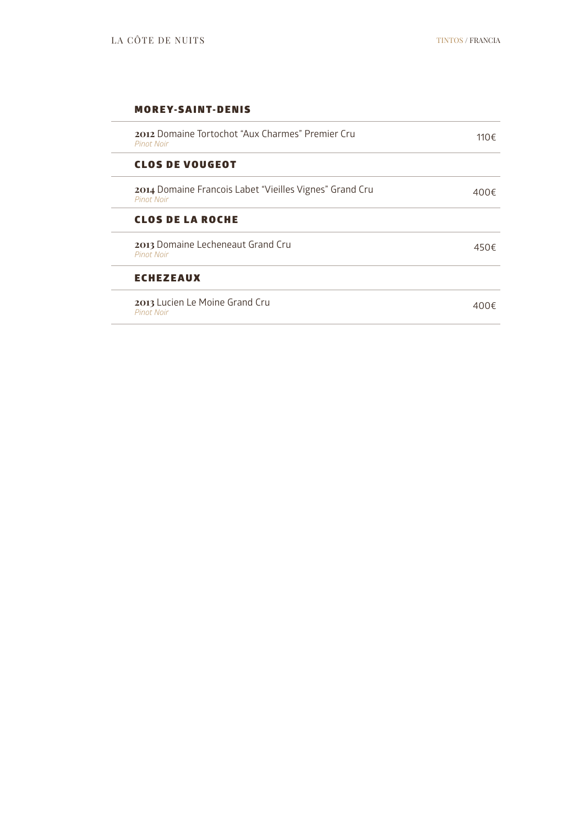### **MOREY-SAINT-DENIS**

| 2012 Domaine Tortochot "Aux Charmes" Premier Cru<br><b>Pinot Noir</b>        | 110€ |
|------------------------------------------------------------------------------|------|
| <b>CLOS DE VOUGEOT</b>                                                       |      |
| 2014 Domaine Francois Labet "Vieilles Vignes" Grand Cru<br><b>Pinot Noir</b> | 400€ |
| <b>CLOS DE LA ROCHE</b>                                                      |      |
| 2013 Domaine Lecheneaut Grand Cru<br><b>Pinot Noir</b>                       | 450€ |
| <b>ECHEZEAUX</b>                                                             |      |
| 2013 Lucien Le Moine Grand Cru<br><b>Pinot Noir</b>                          | 400€ |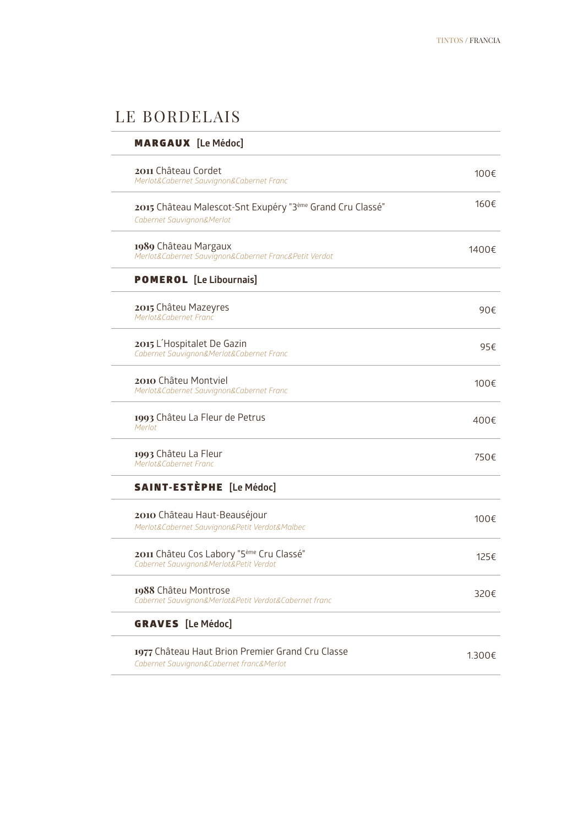### LE BORDELAIS

| <b>MARGAUX</b> [Le Médoc]                                                                      |              |
|------------------------------------------------------------------------------------------------|--------------|
| 2011 Château Cordet<br>Merlot&Cabernet Sauvignon&Cabernet Franc                                | 100€         |
| 2015 Château Malescot-Snt Exupéry "3ème Grand Cru Classé"<br>Cabernet Sauvignon&Merlot         | 160€         |
| 1989 Château Margaux<br>Merlot&Cabernet Sauvignon&Cabernet Franc&Petit Verdot                  | 1400€        |
| <b>POMEROL</b> [Le Libournais]                                                                 |              |
| 2015 Châteu Mazeyres<br>Merlot&Cabernet Franc                                                  | 90€          |
| 2015 L'Hospitalet De Gazin<br>Cabernet Sauvignon&Merlot&Cabernet Franc                         | 95€          |
| 2010 Châteu Montviel<br>Merlot&Cabernet Sauvignon&Cabernet Franc                               | 100 $\notin$ |
| 1993 Châteu La Fleur de Petrus<br>Merlot                                                       | 400€         |
| 1993 Châteu La Fleur<br>Merlot&Cabernet Franc                                                  | 750€         |
| <b>SAINT-ESTÈPHE</b> [Le Médoc]                                                                |              |
| 2010 Château Haut-Beauséjour<br>Merlot&Cabernet Sauvignon&Petit Verdot&Malbec                  | 100€         |
| 2011 Châteu Cos Labory "5 <sup>ème</sup> Cru Classé"<br>Cabernet Sauvignon&Merlot&Petit Verdot | 125€         |
| 1988 Châteu Montrose<br>Cabernet Sauvignon&Merlot&Petit Verdot&Cabernet franc                  | 320€         |
| <b>GRAVES</b> [Le Médoc]                                                                       |              |
| 1977 Château Haut Brion Premier Grand Cru Classe<br>Cabernet Sauvignon&Cabernet franc&Merlot   | 1.300€       |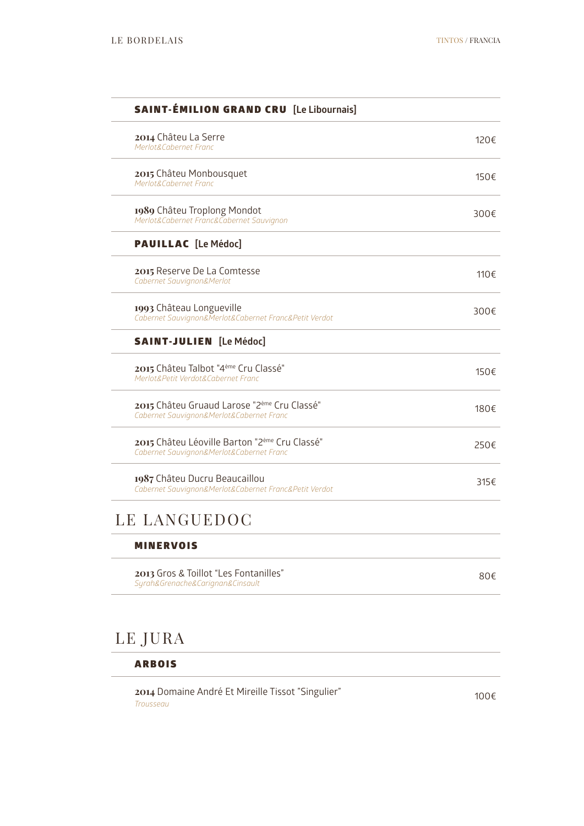| <b>SAINT-ÉMILION GRAND CRU</b> [Le Libournais]                                            |              |
|-------------------------------------------------------------------------------------------|--------------|
| 2014 Châteu La Serre<br>Merlot&Cabernet Franc                                             | 120€         |
| 2015 Châteu Monbousquet<br>Merlot&Cabernet Franc                                          | 150€         |
| 1989 Châteu Troplong Mondot<br>Merlot&Cabernet Franc&Cabernet Sauvignon                   | 300€         |
| <b>PAUILLAC</b> [Le Médoc]                                                                |              |
| 2015 Reserve De La Comtesse<br>Cabernet Sauvignon&Merlot                                  | 110€         |
| 1993 Château Longueville<br>Cabernet Sauvignon&Merlot&Cabernet Franc&Petit Verdot         | 300 $\notin$ |
| <b>SAINT-JULIEN</b> [Le Médoc]                                                            |              |
| 2015 Châteu Talbot "4 <sup>ème</sup> Cru Classé"<br>Merlot&Petit Verdot&Cabernet Franc    | 150€         |
| 2015 Châteu Gruaud Larose "2ème Cru Classé"<br>Cabernet Sauvignon&Merlot&Cabernet Franc   | 180€         |
| 2015 Châteu Léoville Barton "2ème Cru Classé"<br>Cabernet Sauvignon&Merlot&Cabernet Franc | 250€         |
| 1987 Châteu Ducru Beaucaillou<br>Cabernet Sauvignon&Merlot&Cabernet Franc&Petit Verdot    | 315f         |
| LE LANGUEDOC                                                                              |              |
| <b>MINERVOIS</b>                                                                          |              |
| 2013 Gros & Toillot "Les Fontanilles"<br>Syrah&Grenache&Carignan&Cinsault                 | 80€          |
|                                                                                           |              |
| LE JURA                                                                                   |              |

ARBOIS

**2014** Domaine André Et Mireille Tissot "Singulier" *Trousseau*100€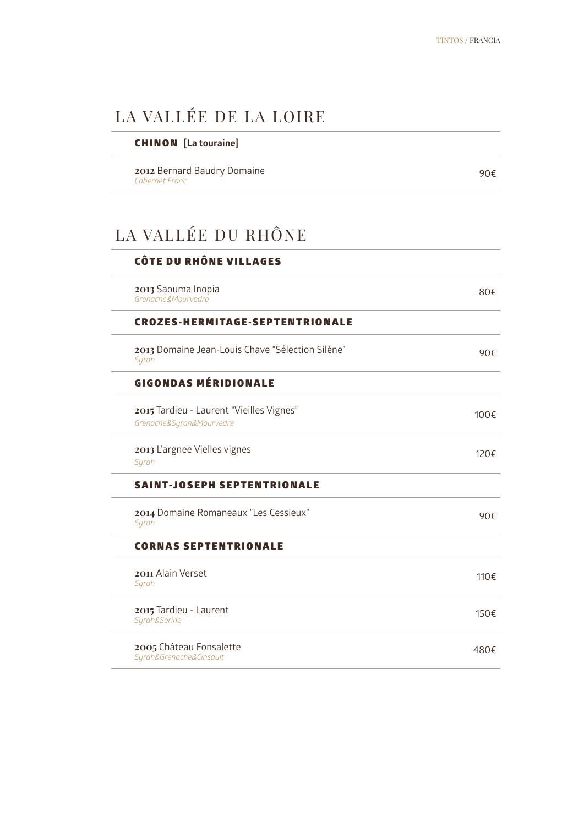### LA VALLÉE DE LA LOIRE

### CHINON **[La touraine]**

**2012** Bernard Baudry Domaine *Cabernet Franc*

90€

### LA VALLÉE DU RHÔNE

| CÔTE DU RHÔNE VILLAGES                                               |                |
|----------------------------------------------------------------------|----------------|
| 2013 Saouma Inopia<br>Grenache&Mourvedre                             | $80 \in$       |
| <b>CROZES-HERMITAGE-SEPTENTRIONALE</b>                               |                |
| 2013 Domaine Jean-Louis Chave "Sélection Siléne"<br>Syrah            | 90f            |
| <b>GIGONDAS MÉRIDIONALE</b>                                          |                |
| 2015 Tardieu - Laurent "Vieilles Vignes"<br>Grenache&Syrah&Mourvedre | 100€           |
| 2013 L'argnee Vielles vignes<br>Syrah                                | $120 \epsilon$ |
| <b>SAINT-JOSEPH SEPTENTRIONALE</b>                                   |                |
| 2014 Domaine Romaneaux "Les Cessieux"<br>Syrah                       | 90f            |
| <b>CORNAS SEPTENTRIONALE</b>                                         |                |
| 2011 Alain Verset<br>Syrah                                           | 110€           |
| 2015 Tardieu - Laurent<br>Syrah&Serine                               | 150€           |
| 2005 Château Fonsalette<br>Syrah&Grenache&Cinsault                   | 480€           |
|                                                                      |                |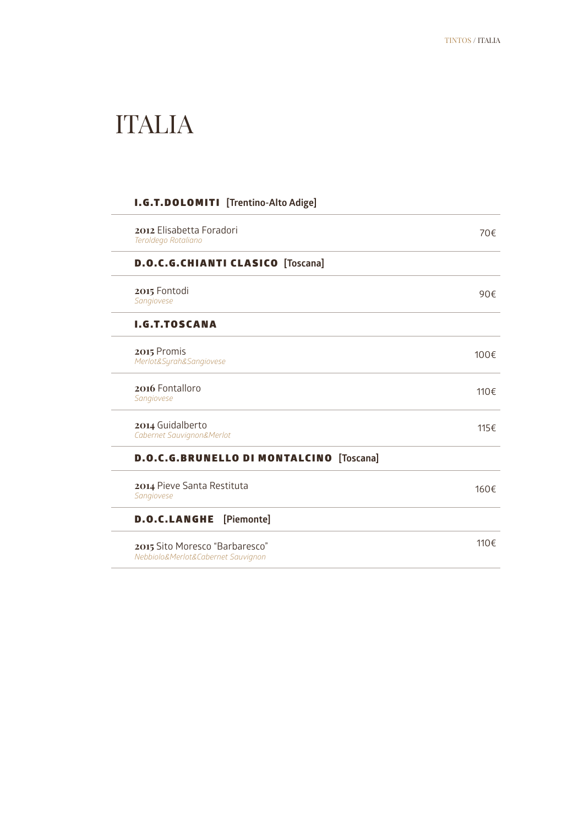### ITALIA

### I.G.T.DOLOMITI **[Trentino-Alto Adige]**

| 2012 Elisabetta Foradori<br>Teroldego Rotaliano                      | 70€          |
|----------------------------------------------------------------------|--------------|
| <b>D.O.C.G.CHIANTI CLASICO</b> [Toscana]                             |              |
| 2015 Fontodi<br>Sangiovese                                           | 90€          |
| <b>I.G.T.TOSCANA</b>                                                 |              |
| 2015 Promis<br>Merlot&Syrah&Sangiovese                               | 100 $\notin$ |
| 2016 Fontalloro<br>Sangiovese                                        | 110€         |
| 2014 Guidalberto<br>Cabernet Sauvignon&Merlot                        | 115€         |
| <b>D.O.C.G.BRUNELLO DI MONTALCINO</b><br>[Toscana]                   |              |
| 2014 Pieve Santa Restituta<br>Sangiovese                             | 160€         |
| [Piemonte]<br><b>D.O.C.LANGHE</b>                                    |              |
| 2015 Sito Moresco "Barbaresco"<br>Nebbiolo&Merlot&Cabernet Sauvignon | 110€         |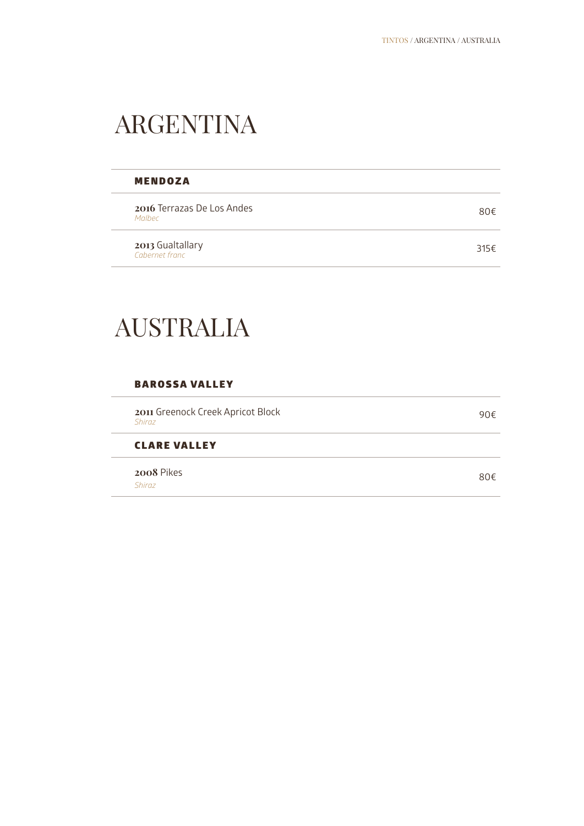### ARGENTINA

| <b>MENDOZA</b>                              |      |
|---------------------------------------------|------|
| <b>2016</b> Terrazas De Los Andes<br>Malher | 80€  |
| 2013 Gualtallary<br>Cabernet franc          | 315€ |

### AUSTRALIA

### BAROSSA VALLEY

| 2011 Greenock Creek Apricot Block<br><b>Shiraz</b> | 90€ |
|----------------------------------------------------|-----|
| <b>CLARE VALLEY</b>                                |     |
| 2008 Pikes<br><b>Shiraz</b>                        | 80€ |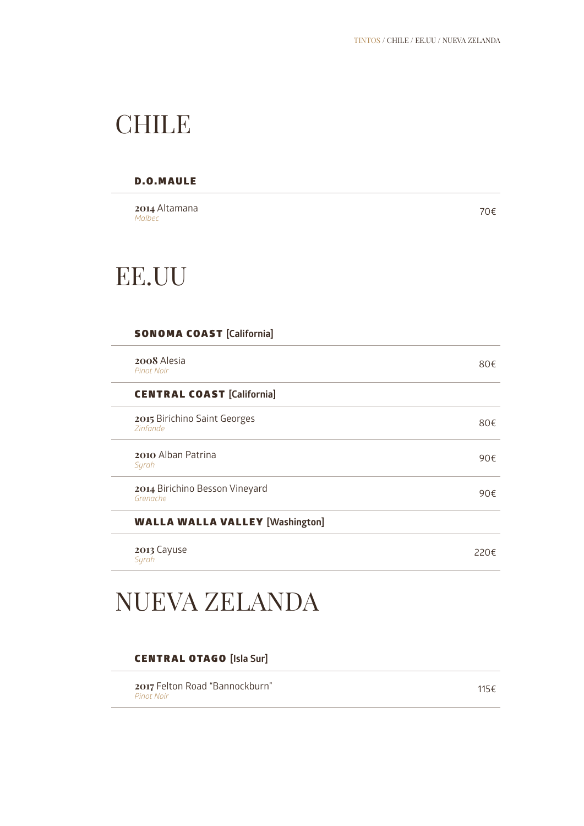### **CHILE**

### D.O.MAULE

**2014** Altamana *Malbec*

70€

### EE.UU

### SONOMA COAST **[California]**

| 2008 Alesia<br><b>Pinot Noir</b>                | 80€  |
|-------------------------------------------------|------|
| <b>CENTRAL COAST [California]</b>               |      |
| 2015 Birichino Saint Georges<br><b>Zinfande</b> | 80€  |
| <b>2010</b> Alban Patrina<br>Syrah              | 90€  |
| 2014 Birichino Besson Vineyard<br>Grenache      | 90€  |
| <b>WALLA WALLA VALLEY [Washington]</b>          |      |
| 2013 Cayuse<br>Syrah                            | 220€ |

### NUEVA ZELANDA

### CENTRAL OTAGO **[Isla Sur]**

**2017** Felton Road "Bannockburn" *Pinot Noir*

115€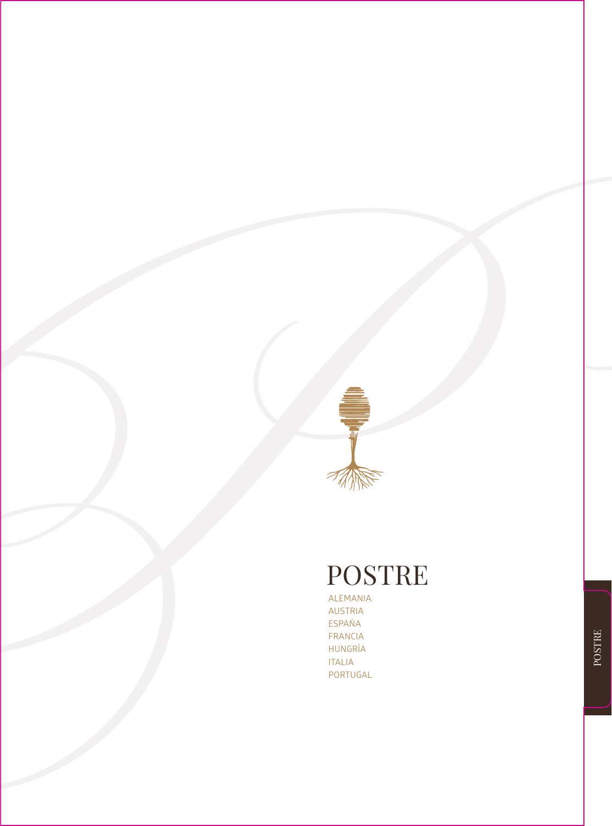

### POSTRE

ALEMANIA AUSTRIA ESPAÑA FRANCIA HUNGRÍA ITALIA PORTUGAL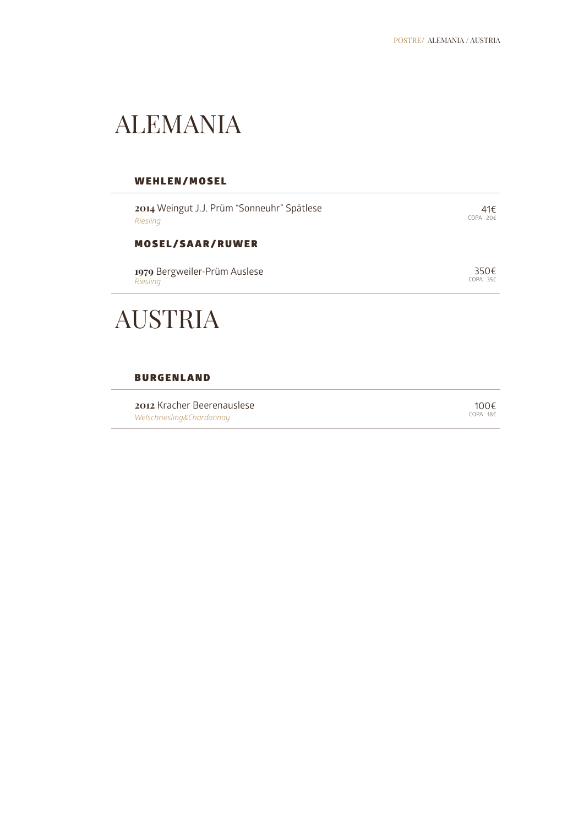### ALEMANIA

### WEHLEN/MOSEL

| 2014 Weingut J.J. Prüm "Sonneuhr" Spätlese | 41€                  |
|--------------------------------------------|----------------------|
| Riesling                                   | $COPA$ 20€           |
| <b>MOSEL/SAAR/RUWER</b>                    |                      |
| 1979 Bergweiler-Prüm Auslese               | 350 $\notin$         |
| Riesling                                   | $COPA$ 35 $\epsilon$ |
| <b>AUSTRIA</b>                             |                      |

### **BURGENLAND**

| 2012 Kracher Beerenauslese | 100€       |
|----------------------------|------------|
| Welschriesling&Chardonnay  | $COPA$ 18€ |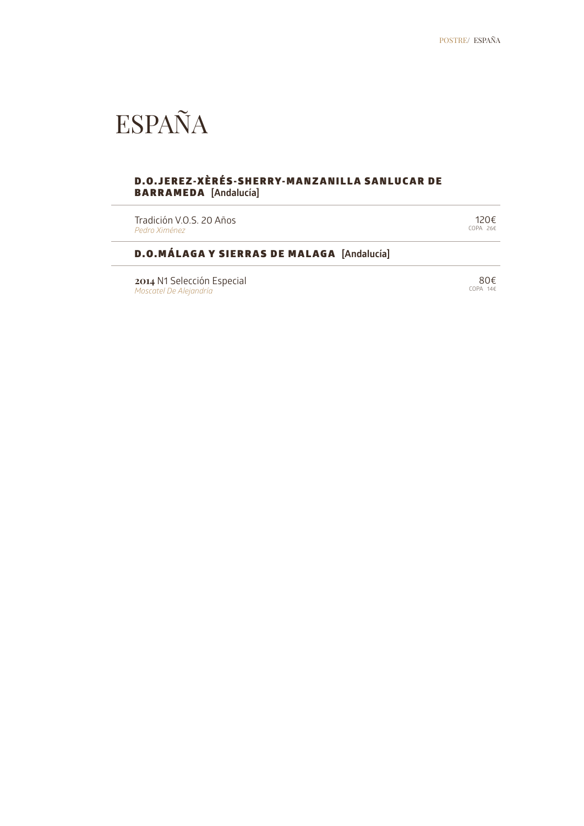### ESPAÑA

### D.O.JEREZ-XÈRÉS-SHERRY-MANZANILLA SANLUCAR DE BARRAMEDA **[Andalucía]**

Tradición V.O.S. 20 Años *Pedro Ximénez*

120€ COPA 26€

### D.O.MÁLAGA Y SIERRAS DE MALAGA **[Andalucía]**

**2014** N1 Selección Especial *Moscatel De Alejandría*

 80€ COPA 14€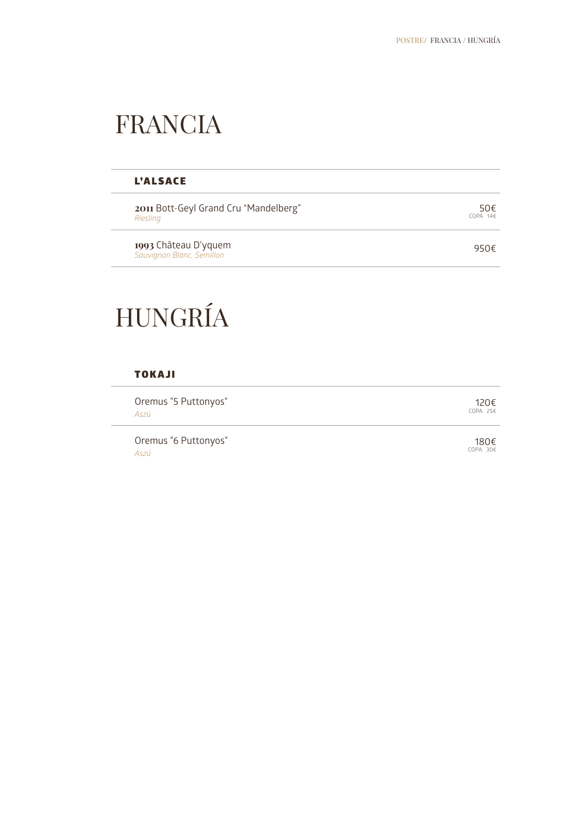### FRANCIA

### L'ALSACE

**2011** Bott-Geyl Grand Cru "Mandelberg" *Riesling*

**1993** Château D'yquem *Sauvignon Blanc, Semillon*

950€

 $50<sup>€</sup>$ 

### HUNGRÍA

### TOKAJI

Oremus "5 Puttonyos" *Aszú* 120€ COPA 25€

Oremus "6 Puttonyos" *Aszú*

180€ COPA 30€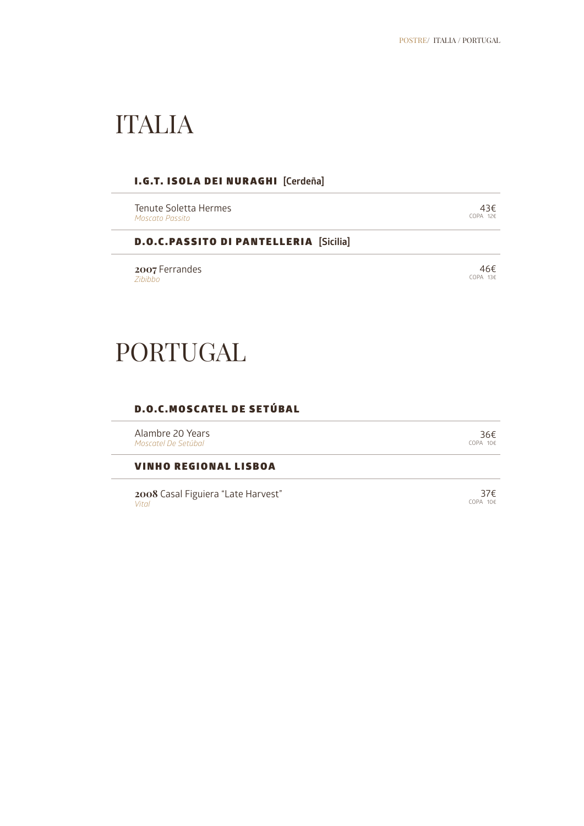### ITALIA

### I.G.T. ISOLA DEI NURAGHI **[Cerdeña]**

Tenute Soletta Hermes *Moscato Passito*

43€<br>24 COPA 126

D.O.C.PASSITO DI PANTELLERIA **[Sicilia]**

**2007** Ferrandes *Zibibbo*

### PORTUGAL

### D.O.C.MOSCATEL DE SETÚBAL

Alambre 20 Years *Moscatel De Setúbal*

VINHO REGIONAL LISBOA

**2008** Casal Figuiera "Late Harvest" *Vital*

 36€ COPA 10€

37€ COPA 10€

 46€ COPA 13€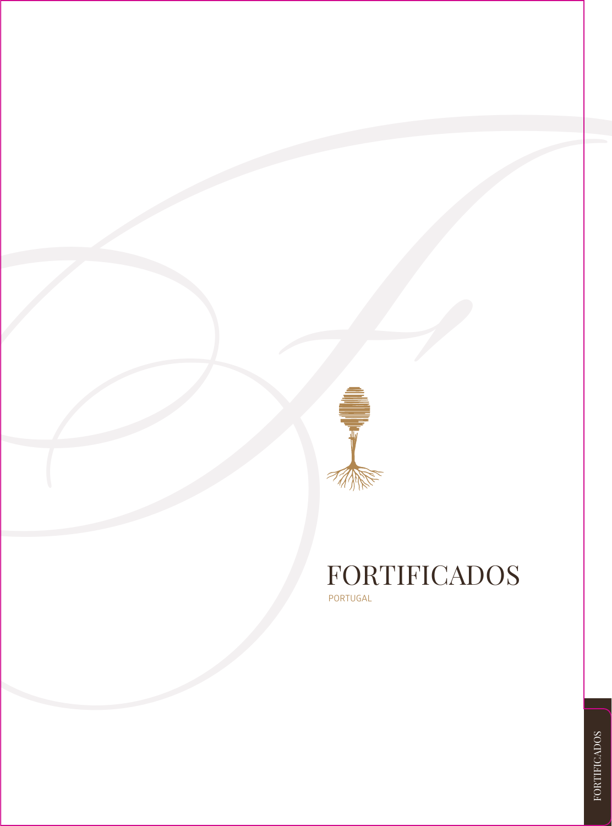

### FORTIFICADOS PORTUGAL